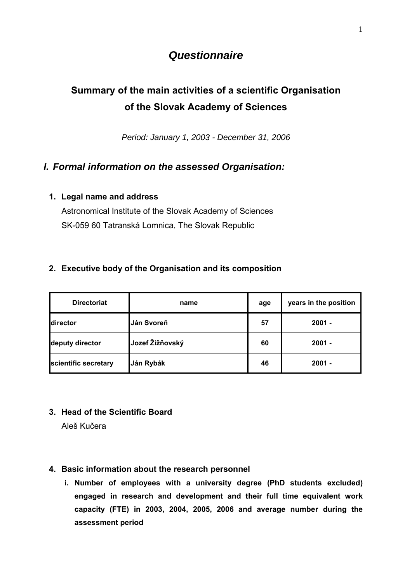# *Questionnaire*

# **Summary of the main activities of a scientific Organisation of the Slovak Academy of Sciences**

*Period: January 1, 2003 - December 31, 2006* 

# *I. Formal information on the assessed Organisation:*

## **1. Legal name and address**

Astronomical Institute of the Slovak Academy of Sciences SK-059 60 Tatranská Lomnica, The Slovak Republic

## **2. Executive body of the Organisation and its composition**

| <b>Directoriat</b>   | name            | age | years in the position |
|----------------------|-----------------|-----|-----------------------|
| director             | Ján Svoreň      | 57  | $2001 -$              |
| deputy director      | Jozef Žižňovský | 60  | $2001 -$              |
| scientific secretary | Ján Rybák       | 46  | $2001 -$              |

## **3. Head of the Scientific Board**

Aleš Kučera

## **4. Basic information about the research personnel**

**i. Number of employees with a university degree (PhD students excluded) engaged in research and development and their full time equivalent work capacity (FTE) in 2003, 2004, 2005, 2006 and average number during the assessment period**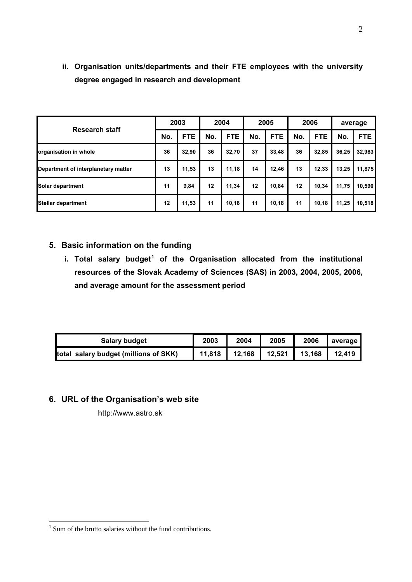|                                     |     | 2003       |     | 2004       |     | 2005       |     | 2006       |       | average |
|-------------------------------------|-----|------------|-----|------------|-----|------------|-----|------------|-------|---------|
| <b>Research staff</b>               | No. | <b>FTE</b> | No. | <b>FTE</b> | No. | <b>FTE</b> | No. | <b>FTE</b> | No.   | FTE.    |
| organisation in whole               | 36  | 32,90      | 36  | 32,70      | 37  | 33,48      | 36  | 32,85      | 36,25 | 32,983  |
| Department of interplanetary matter | 13  | 11,53      | 13  | 11,18      | 14  | 12,46      | 13  | 12,33      | 13,25 | 11,875  |
| Solar department                    | 11  | 9,84       | 12  | 11,34      | 12  | 10,84      | 12  | 10,34      | 11,75 | 10,590  |
| <b>Stellar department</b>           | 12  | 11,53      | 11  | 10,18      | 11  | 10,18      | 11  | 10,18      | 11,25 | 10,518  |

**ii. Organisation units/departments and their FTE employees with the university degree engaged in research and development** 

## **5. Basic information on the funding**

**i. Total salary budget<sup>[1](#page-1-0)</sup> of the Organisation allocated from the institutional resources of the Slovak Academy of Sciences (SAS) in 2003, 2004, 2005, 2006, and average amount for the assessment period** 

| <b>Salary budget</b>                  | 2003   | 2004   | 2005   | 2006   | average |
|---------------------------------------|--------|--------|--------|--------|---------|
| total salary budget (millions of SKK) | 11,818 | 12,168 | 12,521 | 13,168 | 12.419  |

## **6. URL of the Organisation's web site**

http://www.astro.sk

<sup>2</sup>

<span id="page-1-0"></span><sup>&</sup>lt;sup>1</sup> Sum of the brutto salaries without the fund contributions.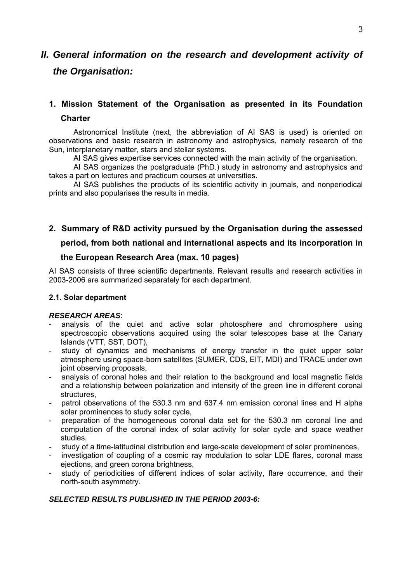# *II. General information on the research and development activity of the Organisation:*

# **1. Mission Statement of the Organisation as presented in its Foundation**

## **Charter**

Astronomical Institute (next, the abbreviation of AI SAS is used) is oriented on observations and basic research in astronomy and astrophysics, namely research of the Sun, interplanetary matter, stars and stellar systems.

AI SAS gives expertise services connected with the main activity of the organisation.

AI SAS organizes the postgraduate (PhD.) study in astronomy and astrophysics and takes a part on lectures and practicum courses at universities.

AI SAS publishes the products of its scientific activity in journals, and nonperiodical prints and also popularises the results in media.

## **2. Summary of R&D activity pursued by the Organisation during the assessed**

## **period, from both national and international aspects and its incorporation in**

## **the European Research Area (max. 10 pages)**

AI SAS consists of three scientific departments. Relevant results and research activities in 2003-2006 are summarized separately for each department.

#### **2.1. Solar department**

#### *RESEARCH AREAS*:

- analysis of the quiet and active solar photosphere and chromosphere using spectroscopic observations acquired using the solar telescopes base at the Canary Islands (VTT, SST, DOT),
- study of dynamics and mechanisms of energy transfer in the quiet upper solar atmosphere using space-born satellites (SUMER, CDS, EIT, MDI) and TRACE under own joint observing proposals.
- analysis of coronal holes and their relation to the background and local magnetic fields and a relationship between polarization and intensity of the green line in different coronal structures,
- patrol observations of the 530.3 nm and 637.4 nm emission coronal lines and H alpha solar prominences to study solar cycle,
- preparation of the homogeneous coronal data set for the 530.3 nm coronal line and computation of the coronal index of solar activity for solar cycle and space weather studies,
- study of a time-latitudinal distribution and large-scale development of solar prominences,
- investigation of coupling of a cosmic ray modulation to solar LDE flares, coronal mass ejections, and green corona brightness,
- study of periodicities of different indices of solar activity, flare occurrence, and their north-south asymmetry.

## *SELECTED RESULTS PUBLISHED IN THE PERIOD 2003-6:*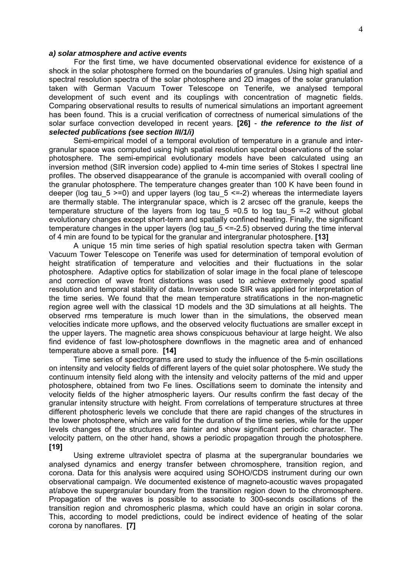#### *a) solar atmosphere and active events*

For the first time, we have documented observational evidence for existence of a shock in the solar photosphere formed on the boundaries of granules. Using high spatial and spectral resolution spectra of the solar photosphere and 2D images of the solar granulation taken with German Vacuum Tower Telescope on Tenerife, we analysed temporal development of such event and its couplings with concentration of magnetic fields. Comparing observational results to results of numerical simulations an important agreement has been found. This is a crucial verification of correctness of numerical simulations of the solar surface convection developed in recent years. **[26]** - *the reference to the list of selected publications (see section III/1/i)* 

Semi-empirical model of a temporal evolution of temperature in a granule and intergranular space was computed using high spatial resolution spectral observations of the solar photosphere. The semi-empirical evolutionary models have been calculated using an inversion method (SIR inversion code) applied to 4-min time series of Stokes I spectral line profiles. The observed disappearance of the granule is accompanied with overall cooling of the granular photosphere. The temperature changes greater than 100 K have been found in deeper (log tau 5 >=0) and upper layers (log tau 5 <=-2) whereas the intermediate layers are thermally stable. The intergranular space, which is 2 arcsec off the granule, keeps the temperature structure of the layers from log tau  $5 = 0.5$  to log tau  $5 = -2$  without global evolutionary changes except short-term and spatially confined heating. Finally, the significant temperature changes in the upper layers (log tau  $5 \le -2.5$ ) observed during the time interval of 4 min are found to be typical for the granular and intergranular photosphere. **[13]** 

A unique 15 min time series of high spatial resolution spectra taken with German Vacuum Tower Telescope on Tenerife was used for determination of temporal evolution of height stratification of temperature and velocities and their fluctuations in the solar photosphere. Adaptive optics for stabilization of solar image in the focal plane of telescope and correction of wave front distortions was used to achieve extremely good spatial resolution and temporal stability of data. Inversion code SIR was applied for interpretation of the time series. We found that the mean temperature stratifications in the non-magnetic region agree well with the classical 1D models and the 3D simulations at all heights. The observed rms temperature is much lower than in the simulations, the observed mean velocities indicate more upflows, and the observed velocity fluctuations are smaller except in the upper layers. The magnetic area shows conspicuous behaviour at large height. We also find evidence of fast low-photosphere downflows in the magnetic area and of enhanced temperature above a small pore. **[14]** 

Time series of spectrograms are used to study the influence of the 5-min oscillations on intensity and velocity fields of different layers of the quiet solar photosphere. We study the continuum intensity field along with the intensity and velocity patterns of the mid and upper photosphere, obtained from two Fe lines. Oscillations seem to dominate the intensity and velocity fields of the higher atmospheric layers. Our results confirm the fast decay of the granular intensity structure with height. From correlations of temperature structures at three different photospheric levels we conclude that there are rapid changes of the structures in the lower photosphere, which are valid for the duration of the time series, while for the upper levels changes of the structures are fainter and show significant periodic character. The velocity pattern, on the other hand, shows a periodic propagation through the photosphere. **[19]** 

Using extreme ultraviolet spectra of plasma at the supergranular boundaries we analysed dynamics and energy transfer between chromosphere, transition region, and corona. Data for this analysis were acquired using SOHO/CDS instrument during our own observational campaign. We documented existence of magneto-acoustic waves propagated at/above the supergranular boundary from the transition region down to the chromosphere. Propagation of the waves is possible to associate to 300-seconds oscillations of the transition region and chromospheric plasma, which could have an origin in solar corona. This, according to model predictions, could be indirect evidence of heating of the solar corona by nanoflares. **[7]**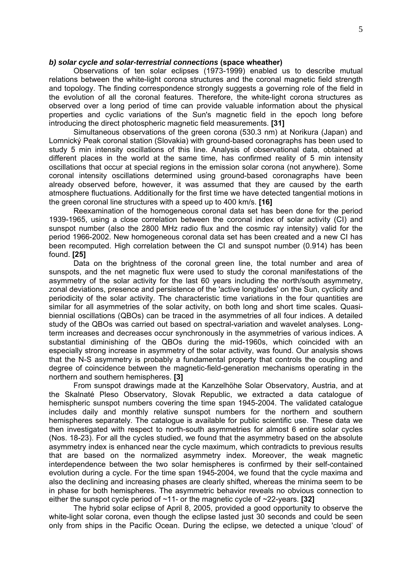#### *b) solar cycle and solar-terrestrial connections* **(space wheather)**

Observations of ten solar eclipses (1973-1999) enabled us to describe mutual relations between the white-light corona structures and the coronal magnetic field strength and topology. The finding correspondence strongly suggests a governing role of the field in the evolution of all the coronal features. Therefore, the white-light corona structures as observed over a long period of time can provide valuable information about the physical properties and cyclic variations of the Sun's magnetic field in the epoch long before introducing the direct photospheric magnetic field measurements. **[31]**

Simultaneous observations of the green corona (530.3 nm) at Norikura (Japan) and Lomnický Peak coronal station (Slovakia) with ground-based coronagraphs has been used to study 5 min intensity oscillations of this line. Analysis of observational data, obtained at different places in the world at the same time, has confirmed reality of 5 min intensity oscillations that occur at special regions in the emission solar corona (not anywhere). Some coronal intensity oscillations determined using ground-based coronagraphs have been already observed before, however, it was assumed that they are caused by the earth atmosphere fluctuations. Additionally for the first time we have detected tangential motions in the green coronal line structures with a speed up to 400 km/s. **[16]**

Reexamination of the homogeneous coronal data set has been done for the period 1939-1965, using a close correlation between the coronal index of solar activity (CI) and sunspot number (also the 2800 MHz radio flux and the cosmic ray intensity) valid for the period 1966-2002. New homogeneous coronal data set has been created and a new CI has been recomputed. High correlation between the CI and sunspot number (0.914) has been found. **[25]**

Data on the brightness of the coronal green line, the total number and area of sunspots, and the net magnetic flux were used to study the coronal manifestations of the asymmetry of the solar activity for the last 60 years including the north/south asymmetry, zonal deviations, presence and persistence of the 'active longitudes' on the Sun, cyclicity and periodicity of the solar activity. The characteristic time variations in the four quantities are similar for all asymmetries of the solar activity, on both long and short time scales. Quasibiennial oscillations (QBOs) can be traced in the asymmetries of all four indices. A detailed study of the QBOs was carried out based on spectral-variation and wavelet analyses. Longterm increases and decreases occur synchronously in the asymmetries of various indices. A substantial diminishing of the QBOs during the mid-1960s, which coincided with an especially strong increase in asymmetry of the solar activity, was found. Our analysis shows that the N-S asymmetry is probably a fundamental property that controls the coupling and degree of coincidence between the magnetic-field-generation mechanisms operating in the northern and southern hemispheres. **[3]**

From sunspot drawings made at the Kanzelhöhe Solar Observatory, Austria, and at the Skalnaté Pleso Observatory, Slovak Republic, we extracted a data catalogue of hemispheric sunspot numbers covering the time span 1945-2004. The validated catalogue includes daily and monthly relative sunspot numbers for the northern and southern hemispheres separately. The catalogue is available for public scientific use. These data we then investigated with respect to north-south asymmetries for almost 6 entire solar cycles (Nos. 18-23). For all the cycles studied, we found that the asymmetry based on the absolute asymmetry index is enhanced near the cycle maximum, which contradicts to previous results that are based on the normalized asymmetry index. Moreover, the weak magnetic interdependence between the two solar hemispheres is confirmed by their self-contained evolution during a cycle. For the time span 1945-2004, we found that the cycle maxima and also the declining and increasing phases are clearly shifted, whereas the minima seem to be in phase for both hemispheres. The asymmetric behavior reveals no obvious connection to either the sunspot cycle period of ~11- or the magnetic cycle of ~22-years. **[32]** 

The hybrid solar eclipse of April 8, 2005, provided a good opportunity to observe the white-light solar corona, even though the eclipse lasted just 30 seconds and could be seen only from ships in the Pacific Ocean. During the eclipse, we detected a unique 'cloud' of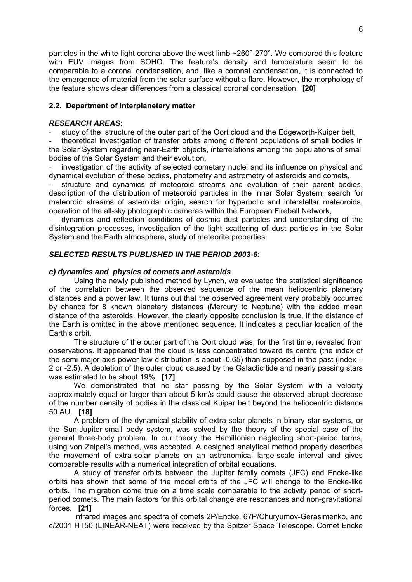particles in the white-light corona above the west limb ~260°-270°. We compared this feature with EUV images from SOHO. The feature's density and temperature seem to be comparable to a coronal condensation, and, like a coronal condensation, it is connected to the emergence of material from the solar surface without a flare. However, the morphology of the feature shows clear differences from a classical coronal condensation. **[20]**

#### **2.2. Department of interplanetary matter**

#### *RESEARCH AREAS*:

study of the structure of the outer part of the Oort cloud and the Edgeworth-Kuiper belt,

- theoretical investigation of transfer orbits among different populations of small bodies in the Solar System regarding near-Earth objects, interrelations among the populations of small bodies of the Solar System and their evolution,

investigation of the activity of selected cometary nuclei and its influence on physical and dynamical evolution of these bodies, photometry and astrometry of asteroids and comets,

structure and dynamics of meteoroid streams and evolution of their parent bodies, description of the distribution of meteoroid particles in the inner Solar System, search for meteoroid streams of asteroidal origin, search for hyperbolic and interstellar meteoroids, operation of the all-sky photographic cameras within the European Fireball Network,

- dynamics and reflection conditions of cosmic dust particles and understanding of the disintegration processes, investigation of the light scattering of dust particles in the Solar System and the Earth atmosphere, study of meteorite properties.

#### *SELECTED RESULTS PUBLISHED IN THE PERIOD 2003-6:*

#### *c) dynamics and physics of comets and asteroids*

Using the newly published method by Lynch, we evaluated the statistical significance of the correlation between the observed sequence of the mean heliocentric planetary distances and a power law. It turns out that the observed agreement very probably occurred by chance for 8 known planetary distances (Mercury to Neptune) with the added mean distance of the asteroids. However, the clearly opposite conclusion is true, if the distance of the Earth is omitted in the above mentioned sequence. It indicates a peculiar location of the Earth's orbit.

The structure of the outer part of the Oort cloud was, for the first time, revealed from observations. It appeared that the cloud is less concentrated toward its centre (the index of the semi-major-axis power-law distribution is about -0.65) than supposed in the past (index – 2 or -2.5). A depletion of the outer cloud caused by the Galactic tide and nearly passing stars was estimated to be about 19%. **[17]**

We demonstrated that no star passing by the Solar System with a velocity approximately equal or larger than about 5 km/s could cause the observed abrupt decrease of the number density of bodies in the classical Kuiper belt beyond the heliocentric distance 50 AU. **[18]**

A problem of the dynamical stability of extra-solar planets in binary star systems, or the Sun-Jupiter-small body system, was solved by the theory of the special case of the general three-body problem. In our theory the Hamiltonian neglecting short-period terms, using von Zeipel's method, was accepted. A designed analytical method properly describes the movement of extra-solar planets on an astronomical large-scale interval and gives comparable results with a numerical integration of orbital equations.

A study of transfer orbits between the Jupiter family comets (JFC) and Encke-like orbits has shown that some of the model orbits of the JFC will change to the Encke-like orbits. The migration come true on a time scale comparable to the activity period of shortperiod comets. The main factors for this orbital change are resonances and non-gravitational forces. **[21]** 

Infrared images and spectra of comets 2P/Encke, 67P/Churyumov-Gerasimenko, and c/2001 HT50 (LINEAR-NEAT) were received by the Spitzer Space Telescope. Comet Encke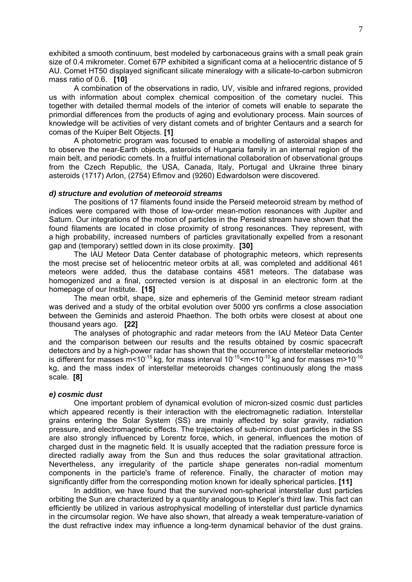exhibited a smooth continuum, best modeled by carbonaceous grains with a small peak grain size of 0.4 mikrometer. Comet 67P exhibited a significant coma at a heliocentric distance of 5 AU. Comet HT50 displayed significant silicate mineralogy with a silicate-to-carbon submicron mass ratio of 0.6. **[10]**

A combination of the observations in radio, UV, visible and infrared regions, provided us with information about complex chemical composition of the cometary nuclei. This together with detailed thermal models of the interior of comets will enable to separate the primordial differences from the products of aging and evolutionary process. Main sources of knowledge will be activities of very distant comets and of brighter Centaurs and a search for comas of the Kuiper Belt Objects. **[1]**

A photometric program was focused to enable a modelling of asteroidal shapes and to observe the near-Earth objects, asteroids of Hungaria family in an internal region of the main belt, and periodic comets. In a fruitful international collaboration of observational groups from the Czech Republic, the USA, Canada, Italy, Portugal and Ukraine three binary asteroids (1717) Arlon, (2754) Efimov and (9260) Edwardolson were discovered.

#### *d) structure and evolution of meteoroid streams*

The positions of 17 filaments found inside the Perseid meteoroid stream by method of indices were compared with those of low-order mean-motion resonances with Jupiter and Saturn. Our integrations of the motion of particles in the Perseid stream have shown that the found filaments are located in close proximity of strong resonances. They represent, with a high probability, increased numbers of particles gravitationally expelled from a resonant gap and (temporary) settled down in its close proximity. **[30]**

The IAU Meteor Data Center database of photographic meteors, which represents the most precise set of heliocentric meteor orbits at all, was completed and additional 461 meteors were added, thus the database contains 4581 meteors. The database was homogenized and a final, corrected version is at disposal in an electronic form at the homepage of our Institute. **[15]**

The mean orbit, shape, size and ephemeris of the Geminid meteor stream radiant was derived and a study of the orbital evolution over 5000 yrs confirms a close association between the Geminids and asteroid Phaethon. The both orbits were closest at about one thousand years ago. **[22]** 

The analyses of photographic and radar meteors from the IAU Meteor Data Center and the comparison between our results and the results obtained by cosmic spacecraft detectors and by a high-power radar has shown that the occurrence of interstellar meteoriods is different for masses  $m$ <10<sup>-15</sup> kg, for mass interval  $10^{-15}$  <m <  $10^{-10}$  kg and for masses m>10<sup>-10</sup> kg, and the mass index of interstellar meteoroids changes continuously along the mass scale. **[8]**

#### *e) cosmic dust*

One important problem of dynamical evolution of micron-sized cosmic dust particles which appeared recently is their interaction with the electromagnetic radiation. Interstellar grains entering the Solar System (SS) are mainly affected by solar gravity, radiation pressure, and electromagnetic effects. The trajectories of sub-micron dust particles in the SS are also strongly influenced by Lorentz force, which, in general, influences the motion of charged dust in the magnetic field. It is usually accepted that the radiation pressure force is directed radially away from the Sun and thus reduces the solar gravitational attraction. Nevertheless, any irregularity of the particle shape generates non-radial momentum components in the particle's frame of reference. Finally, the character of motion may significantly differ from the corresponding motion known for ideally spherical particles. **[11]** 

 In addition, we have found that the survived non-spherical interstellar dust particles orbiting the Sun are characterized by a quantity analogous to Kepler's third law. This fact can efficiently be utilized in various astrophysical modelling of interstellar dust particle dynamics in the circumsolar region. We have also shown, that already a weak temperature-variation of the dust refractive index may influence a long-term dynamical behavior of the dust grains.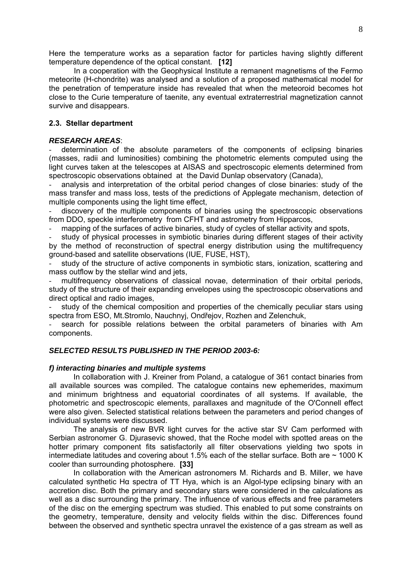Here the temperature works as a separation factor for particles having slightly different temperature dependence of the optical constant. **[12]** 

In a cooperation with the Geophysical Institute a remanent magnetisms of the Fermo meteorite (H-chondrite) was analysed and a solution of a proposed mathematical model for the penetration of temperature inside has revealed that when the meteoroid becomes hot close to the Curie temperature of taenite, any eventual extraterrestrial magnetization cannot survive and disappears.

#### **2.3. Stellar department**

#### *RESEARCH AREAS*:

determination of the absolute parameters of the components of eclipsing binaries (masses, radii and luminosities) combining the photometric elements computed using the light curves taken at the telescopes at AISAS and spectroscopic elements determined from spectroscopic observations obtained at the David Dunlap observatory (Canada),

- analysis and interpretation of the orbital period changes of close binaries: study of the mass transfer and mass loss, tests of the predictions of Applegate mechanism, detection of multiple components using the light time effect,

discovery of the multiple components of binaries using the spectroscopic observations from DDO, speckle interferometry from CFHT and astrometry from Hipparcos,

mapping of the surfaces of active binaries, study of cycles of stellar activity and spots,

study of physical processes in symbiotic binaries during different stages of their activity by the method of reconstruction of spectral energy distribution using the multifrequency ground-based and satellite observations (IUE, FUSE, HST),

study of the structure of active components in symbiotic stars, ionization, scattering and mass outflow by the stellar wind and jets,

multifrequency observations of classical novae, determination of their orbital periods, study of the structure of their expanding envelopes using the spectroscopic observations and direct optical and radio images,

study of the chemical composition and properties of the chemically peculiar stars using spectra from ESO, Mt.Stromlo, Nauchnyj, Ondřejov, Rozhen and Zelenchuk,

search for possible relations between the orbital parameters of binaries with Am components.

#### *SELECTED RESULTS PUBLISHED IN THE PERIOD 2003-6:*

#### *f) interacting binaries and multiple systems*

In collaboration with J. Kreiner from Poland, a catalogue of 361 contact binaries from all available sources was compiled. The catalogue contains new ephemerides, maximum and minimum brightness and equatorial coordinates of all systems. If available, the photometric and spectroscopic elements, parallaxes and magnitude of the O'Connell effect were also given. Selected statistical relations between the parameters and period changes of individual systems were discussed.

The analysis of new BVR light curves for the active star SV Cam performed with Serbian astronomer G. Djurasevic showed, that the Roche model with spotted areas on the hotter primary component fits satisfactorily all filter observations yielding two spots in intermediate latitudes and covering about 1.5% each of the stellar surface. Both are  $\sim$  1000 K cooler than surrounding photosphere. **[33]** 

In collaboration with the American astronomers M. Richards and B. Miller, we have calculated synthetic Hα spectra of TT Hya, which is an Algol-type eclipsing binary with an accretion disc. Both the primary and secondary stars were considered in the calculations as well as a disc surrounding the primary. The influence of various effects and free parameters of the disc on the emerging spectrum was studied. This enabled to put some constraints on the geometry, temperature, density and velocity fields within the disc. Differences found between the observed and synthetic spectra unravel the existence of a gas stream as well as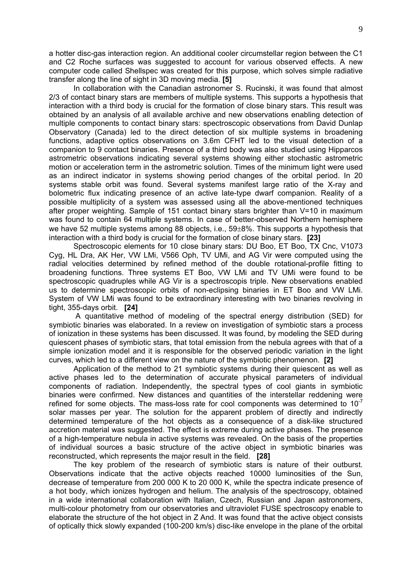a hotter disc-gas interaction region. An additional cooler circumstellar region between the C1 and C2 Roche surfaces was suggested to account for various observed effects. A new computer code called Shellspec was created for this purpose, which solves simple radiative transfer along the line of sight in 3D moving media. **[5]**

In collaboration with the Canadian astronomer S. Rucinski, it was found that almost 2/3 of contact binary stars are members of multiple systems. This supports a hypothesis that interaction with a third body is crucial for the formation of close binary stars. This result was obtained by an analysis of all available archive and new observations enabling detection of multiple components to contact binary stars: spectroscopic observations from David Dunlap Observatory (Canada) led to the direct detection of six multiple systems in broadening functions, adaptive optics observations on 3.6m CFHT led to the visual detection of a companion to 9 contact binaries. Presence of a third body was also studied using Hipparcos astrometric observations indicating several systems showing either stochastic astrometric motion or acceleration term in the astrometric solution. Times of the minimum light were used as an indirect indicator in systems showing period changes of the orbital period. In 20 systems stable orbit was found. Several systems manifest large ratio of the X-ray and bolometric flux indicating presence of an active late-type dwarf companion. Reality of a possible multiplicity of a system was assessed using all the above-mentioned techniques after proper weighting. Sample of 151 contact binary stars brighter than V=10 in maximum was found to contain 64 multiple systems. In case of better-observed Northern hemisphere we have 52 multiple systems among 88 objects, i.e., 59±8%. This supports a hypothesis that interaction with a third body is crucial for the formation of close binary stars. **[23]**

Spectroscopic elements for 10 close binary stars: DU Boo, ET Boo, TX Cnc, V1073 Cyg, HL Dra, AK Her, VW LMi, V566 Oph, TV UMi, and AG Vir were computed using the radial velocities determined by refined method of the double rotational-profile fitting to broadening functions. Three systems ET Boo, VW LMi and TV UMi were found to be spectroscopic quadruples while AG Vir is a spectroscopis triple. New observations enabled us to determine spectroscopic orbits of non-eclipsing binaries in ET Boo and VW LMi. System of VW LMi was found to be extraordinary interesting with two binaries revolving in tight, 355-days orbit. **[24]**

 A quantitative method of modeling of the spectral energy distribution (SED) for symbiotic binaries was elaborated. In a review on investigation of symbiotic stars a process of ionization in these systems has been discussed. It was found, by modeling the SED during quiescent phases of symbiotic stars, that total emission from the nebula agrees with that of a simple ionization model and it is responsible for the observed periodic variation in the light curves, which led to a different view on the nature of the symbiotic phenomenon. **[2]**

Application of the method to 21 symbiotic systems during their quiescent as well as active phases led to the determination of accurate physical parameters of individual components of radiation. Independently, the spectral types of cool giants in symbiotic binaries were confirmed. New distances and quantities of the interstellar reddening were refined for some objects. The mass-loss rate for cool components was determined to  $10^{-7}$ solar masses per year. The solution for the apparent problem of directly and indirectly determined temperature of the hot objects as a consequence of a disk-like structured accretion material was suggested. The effect is extreme during active phases. The presence of a high-temperature nebula in active systems was revealed. On the basis of the properties of individual sources a basic structure of the active object in symbiotic binaries was reconstructed, which represents the major result in the field. **[28]**

The key problem of the research of symbiotic stars is nature of their outburst. Observations indicate that the active objects reached 10000 luminosities of the Sun, decrease of temperature from 200 000 K to 20 000 K, while the spectra indicate presence of a hot body, which ionizes hydrogen and helium. The analysis of the spectroscopy, obtained in a wide international collaboration with Italian, Czech, Russian and Japan astronomers, multi-colour photometry from our observatories and ultraviolet FUSE spectroscopy enable to elaborate the structure of the hot object in Z And. It was found that the active object consists of optically thick slowly expanded (100-200 km/s) disc-like envelope in the plane of the orbital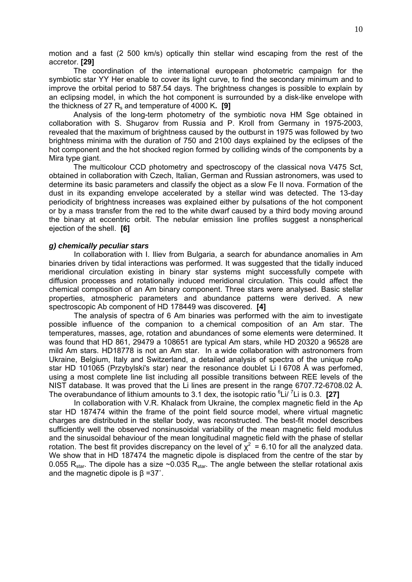motion and a fast (2 500 km/s) optically thin stellar wind escaping from the rest of the accretor. **[29]** 

The coordination of the international european photometric campaign for the symbiotic star YY Her enable to cover its light curve, to find the secondary minimum and to improve the orbital period to 587.54 days. The brightness changes is possible to explain by an eclipsing model, in which the hot component is surrounded by a disk-like envelope with the thickness of 27  $R_s$  and temperature of 4000 K. [9]

Analysis of the long-term photometry of the symbiotic nova HM Sge obtained in collaboration with S. Shugarov from Russia and P. Kroll from Germany in 1975-2003, revealed that the maximum of brightness caused by the outburst in 1975 was followed by two brightness minima with the duration of 750 and 2100 days explained by the eclipses of the hot component and the hot shocked region formed by colliding winds of the components by a Mira type giant.

The multicolour CCD photometry and spectroscopy of the classical nova V475 Sct, obtained in collaboration with Czech, Italian, German and Russian astronomers, was used to determine its basic parameters and classify the object as a slow Fe II nova. Formation of the dust in its expanding envelope accelerated by a stellar wind was detected. The 13-day periodicity of brightness increases was explained either by pulsations of the hot component or by a mass transfer from the red to the white dwarf caused by a third body moving around the binary at eccentric orbit. The nebular emission line profiles suggest a nonspherical ejection of the shell. **[6]** 

#### *g) chemically peculiar stars*

In collaboration with I. Iliev from Bulgaria, a search for abundance anomalies in Am binaries driven by tidal interactions was performed. It was suggested that the tidally induced meridional circulation existing in binary star systems might successfully compete with diffusion processes and rotationally induced meridional circulation. This could affect the chemical composition of an Am binary component. Three stars were analysed. Basic stellar properties, atmospheric parameters and abundance patterns were derived. A new spectroscopic Ab component of HD 178449 was discovered. **[4]** 

The analysis of spectra of 6 Am binaries was performed with the aim to investigate possible influence of the companion to a chemical composition of an Am star. The temperatures, masses, age, rotation and abundances of some elements were determined. It was found that HD 861, 29479 a 108651 are typical Am stars, while HD 20320 a 96528 are mild Am stars. HD18778 is not an Am star. In a wide collaboration with astronomers from Ukraine, Belgium, Italy and Switzerland, a detailed analysis of spectra of the unique roAp star HD 101065 (Przybylski's star) near the resonance doublet Li I 6708 Å was perfomed, using a most complete line list including all possible transitions between REE levels of the NIST database. It was proved that the Li lines are present in the range 6707.72-6708.02 Å. The overabundance of lithium amounts to 3.1 dex, the isotopic ratio <sup>6</sup>Li/<sup>7</sup>Li is 0.3. [27]

In collaboration with V.R. Khalack from Ukraine, the complex magnetic field in the Ap star HD 187474 within the frame of the point field source model, where virtual magnetic charges are distributed in the stellar body, was reconstructed. The best-fit model describes sufficiently well the observed nonsinusoidal variability of the mean magnetic field modulus and the sinusoidal behaviour of the mean longitudinal magnetic field with the phase of stellar rotation. The best fit provides discrepancy on the level of  $\chi^2$  = 6.10 for all the analyzed data. We show that in HD 187474 the magnetic dipole is displaced from the centre of the star by 0.055 R<sub>star</sub>. The dipole has a size ~0.035 R<sub>star</sub>. The angle between the stellar rotational axis and the magnetic dipole is β =37˚.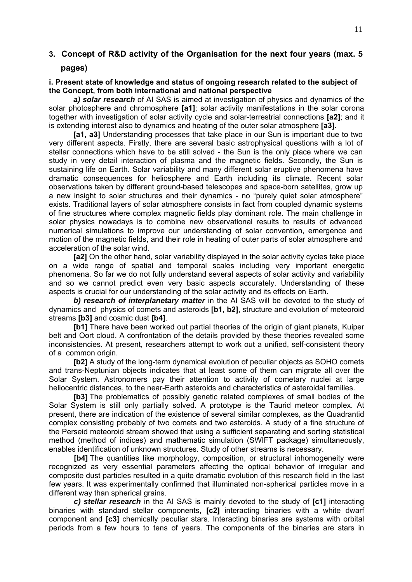## **3. Concept of R&D activity of the Organisation for the next four years (max. 5**

#### **pages)**

#### **i. Present state of knowledge and status of ongoing research related to the subject of the Concept, from both international and national perspective**

*a) solar research* of AI SAS is aimed at investigation of physics and dynamics of the solar photosphere and chromosphere **[a1]**; solar activity manifestations in the solar corona together with investigation of solar activity cycle and solar-terrestrial connections **[a2]**; and it is extending interest also to dynamics and heating of the outer solar atmosphere **[a3].**

**[a1, a3]** Understanding processes that take place in our Sun is important due to two very different aspects. Firstly, there are several basic astrophysical questions with a lot of stellar connections which have to be still solved - the Sun is the only place where we can study in very detail interaction of plasma and the magnetic fields. Secondly, the Sun is sustaining life on Earth. Solar variability and many different solar eruptive phenomena have dramatic consequences for heliosphere and Earth including its climate. Recent solar observations taken by different ground-based telescopes and space-born satellites, grow up a new insight to solar structures and their dynamics - no "purely quiet solar atmosphere" exists. Traditional layers of solar atmosphere consists in fact from coupled dynamic systems of fine structures where complex magnetic fields play dominant role. The main challenge in solar physics nowadays is to combine new observational results to results of advanced numerical simulations to improve our understanding of solar convention, emergence and motion of the magnetic fields, and their role in heating of outer parts of solar atmosphere and acceleration of the solar wind.

**[a2]** On the other hand, solar variability displayed in the solar activity cycles take place on a wide range of spatial and temporal scales including very important energetic phenomena. So far we do not fully understand several aspects of solar activity and variability and so we cannot predict even very basic aspects accurately. Understanding of these aspects is crucial for our understanding of the solar activity and its effects on Earth.

*b) research of interplanetary matter* in the AI SAS will be devoted to the study of dynamics and physics of comets and asteroids **[b1, b2]**, structure and evolution of meteoroid streams **[b3]** and cosmic dust **[b4]**.

**[b1]** There have been worked out partial theories of the origin of giant planets, Kuiper belt and Oort cloud. A confrontation of the details provided by these theories revealed some inconsistencies. At present, researchers attempt to work out a unified, self-consistent theory of a common origin.

**[b2]** A study of the long-term dynamical evolution of peculiar objects as SOHO comets and trans-Neptunian objects indicates that at least some of them can migrate all over the Solar System. Astronomers pay their attention to activity of cometary nuclei at large heliocentric distances, to the near-Earth asteroids and characteristics of asteroidal families.

**[b3]** The problematics of possibly genetic related complexes of small bodies of the Solar System is still only partially solved. A prototype is the Taurid meteor complex. At present, there are indication of the existence of several similar complexes, as the Quadrantid complex consisting probably of two comets and two asteroids. A study of a fine structure of the Perseid meteoroid stream showed that using a sufficient separating and sorting statistical method (method of indices) and mathematic simulation (SWIFT package) simultaneously, enables identification of unknown structures. Study of other streams is necessary.

**[b4]** The quantities like morphology, composition, or structural inhomogeneity were recognized as very essential parameters affecting the optical behavior of irregular and composite dust particles resulted in a quite dramatic evolution of this research field in the last few years. It was experimentally confirmed that illuminated non-spherical particles move in a different way than spherical grains.

*c) stellar research* in the AI SAS is mainly devoted to the study of **[c1]** interacting binaries with standard stellar components, **[c2]** interacting binaries with a white dwarf component and **[c3]** chemically peculiar stars. Interacting binaries are systems with orbital periods from a few hours to tens of years. The components of the binaries are stars in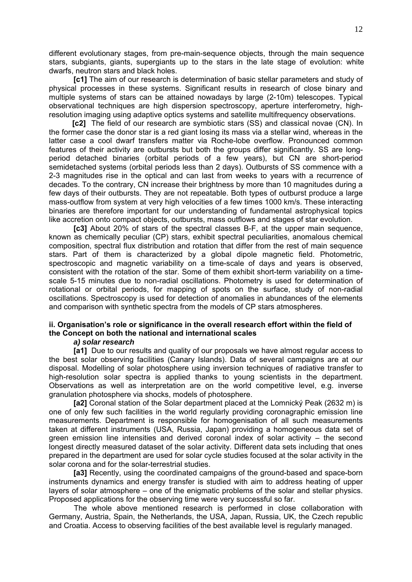different evolutionary stages, from pre-main-sequence objects, through the main sequence stars, subgiants, giants, supergiants up to the stars in the late stage of evolution: white dwarfs, neutron stars and black holes.

**[c1]** The aim of our research is determination of basic stellar parameters and study of physical processes in these systems. Significant results in research of close binary and multiple systems of stars can be attained nowadays by large (2-10m) telescopes. Typical observational techniques are high dispersion spectroscopy, aperture interferometry, highresolution imaging using adaptive optics systems and satellite multifrequency observations.

 **[c2]** The field of our research are symbiotic stars (SS) and classical novae (CN). In the former case the donor star is a red giant losing its mass via a stellar wind, whereas in the latter case a cool dwarf transfers matter via Roche-lobe overflow. Pronounced common features of their activity are outbursts but both the groups differ significantly. SS are longperiod detached binaries (orbital periods of a few years), but CN are short-period semidetached systems (orbital periods less than 2 days). Outbursts of SS commence with a 2-3 magnitudes rise in the optical and can last from weeks to years with a recurrence of decades. To the contrary, CN increase their brightness by more than 10 magnitudes during a few days of their outbursts. They are not repeatable. Both types of outburst produce a large mass-outflow from system at very high velocities of a few times 1000 km/s. These interacting binaries are therefore important for our understanding of fundamental astrophysical topics like accretion onto compact objects, outbursts, mass outflows and stages of star evolution.

**[c3]** About 20% of stars of the spectral classes B-F, at the upper main sequence, known as chemically peculiar (CP) stars, exhibit spectral peculiarities, anomalous chemical composition, spectral flux distribution and rotation that differ from the rest of main sequence stars. Part of them is characterized by a global dipole magnetic field. Photometric, spectroscopic and magnetic variability on a time-scale of days and years is observed, consistent with the rotation of the star. Some of them exhibit short-term variability on a timescale 5-15 minutes due to non-radial oscillations. Photometry is used for determination of rotational or orbital periods, for mapping of spots on the surface, study of non-radial oscillations. Spectroscopy is used for detection of anomalies in abundances of the elements and comparison with synthetic spectra from the models of CP stars atmospheres.

## **ii. Organisation's role or significance in the overall research effort within the field of the Concept on both the national and international scales**

#### *a) solar research*

**[a1]** Due to our results and quality of our proposals we have almost regular access to the best solar observing facilities (Canary Islands). Data of several campaigns are at our disposal. Modelling of solar photosphere using inversion techniques of radiative transfer to high-resolution solar spectra is applied thanks to young scientists in the department. Observations as well as interpretation are on the world competitive level, e.g. inverse granulation photosphere via shocks, models of photosphere.

**[a2]** Coronal station of the Solar department placed at the Lomnický Peak (2632 m) is one of only few such facilities in the world regularly providing coronagraphic emission line measurements. Department is responsible for homogenisation of all such measurements taken at different instruments (USA, Russia, Japan) providing a homogeneous data set of green emission line intensities and derived coronal index of solar activity – the second longest directly measured dataset of the solar activity. Different data sets including that ones prepared in the department are used for solar cycle studies focused at the solar activity in the solar corona and for the solar-terrestrial studies.

**[a3]** Recently, using the coordinated campaigns of the ground-based and space-born instruments dynamics and energy transfer is studied with aim to address heating of upper layers of solar atmosphere – one of the enigmatic problems of the solar and stellar physics. Proposed applications for the observing time were very successful so far.

The whole above mentioned research is performed in close collaboration with Germany, Austria, Spain, the Netherlands, the USA, Japan, Russia, UK, the Czech republic and Croatia. Access to observing facilities of the best available level is regularly managed.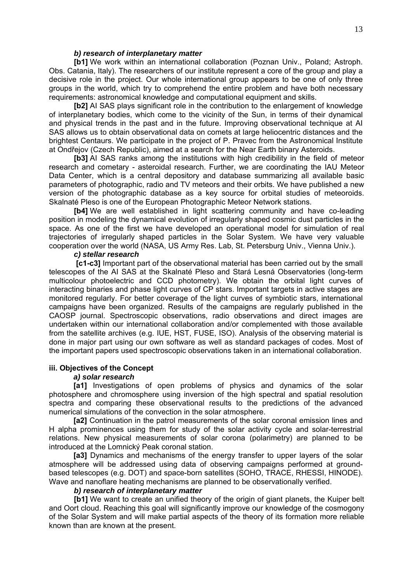#### *b) research of interplanetary matter*

**[b1]** We work within an international collaboration (Poznan Univ., Poland; Astroph. Obs. Catania, Italy). The researchers of our institute represent a core of the group and play a decisive role in the project. Our whole international group appears to be one of only three groups in the world, which try to comprehend the entire problem and have both necessary requirements: astronomical knowledge and computational equipment and skills.

**[b2]** AI SAS plays significant role in the contribution to the enlargement of knowledge of interplanetary bodies, which come to the vicinity of the Sun, in terms of their dynamical and physical trends in the past and in the future. Improving observational technique at AI SAS allows us to obtain observational data on comets at large heliocentric distances and the brightest Centaurs. We participate in the project of P. Pravec from the Astronomical Institute at Ondřejov (Czech Republic), aimed at a search for the Near Earth binary Asteroids.

**[b3]** AI SAS ranks among the institutions with high credibility in the field of meteor research and cometary - asteroidal research. Further, we are coordinating the IAU Meteor Data Center, which is a central depository and database summarizing all available basic parameters of photographic, radio and TV meteors and their orbits. We have published a new version of the photographic database as a key source for orbital studies of meteoroids. Skalnaté Pleso is one of the European Photographic Meteor Network stations.

**[b4]** We are well established in light scattering community and have co-leading position in modeling the dynamical evolution of irregularly shaped cosmic dust particles in the space. As one of the first we have developed an operational model for simulation of real trajectories of irregularly shaped particles in the Solar System. We have very valuable cooperation over the world (NASA, US Army Res. Lab, St. Petersburg Univ., Vienna Univ.).

#### *c) stellar research*

**[c1-c3]** Important part of the observational material has been carried out by the small telescopes of the AI SAS at the Skalnaté Pleso and Stará Lesná Observatories (long-term multicolour photoelectric and CCD photometry). We obtain the orbital light curves of interacting binaries and phase light curves of CP stars. Important targets in active stages are monitored regularly. For better coverage of the light curves of symbiotic stars, international campaigns have been organized. Results of the campaigns are regularly published in the CAOSP journal. Spectroscopic observations, radio observations and direct images are undertaken within our international collaboration and/or complemented with those available from the satellite archives (e.g. IUE, HST, FUSE, ISO). Analysis of the observing material is done in major part using our own software as well as standard packages of codes. Most of the important papers used spectroscopic observations taken in an international collaboration.

#### **iii. Objectives of the Concept**

#### *a) solar research*

**[a1]** Investigations of open problems of physics and dynamics of the solar photosphere and chromosphere using inversion of the high spectral and spatial resolution spectra and comparing these observational results to the predictions of the advanced numerical simulations of the convection in the solar atmosphere.

**[a2]** Continuation in the patrol measurements of the solar coronal emission lines and H alpha prominences using them for study of the solar activity cycle and solar-terrestrial relations. New physical measurements of solar corona (polarimetry) are planned to be introduced at the Lomnický Peak coronal station.

**[a3]** Dynamics and mechanisms of the energy transfer to upper layers of the solar atmosphere will be addressed using data of observing campaigns performed at groundbased telescopes (e.g. DOT) and space-born satellites (SOHO, TRACE, RHESSI, HINODE). Wave and nanoflare heating mechanisms are planned to be observationally verified.

#### *b) research of interplanetary matter*

**[b1]** We want to create an unified theory of the origin of giant planets, the Kuiper belt and Oort cloud. Reaching this goal will significantly improve our knowledge of the cosmogony of the Solar System and will make partial aspects of the theory of its formation more reliable known than are known at the present.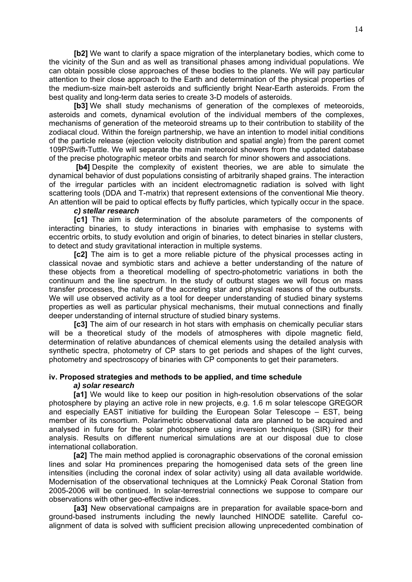**[b2]** We want to clarify a space migration of the interplanetary bodies, which come to the vicinity of the Sun and as well as transitional phases among individual populations. We can obtain possible close approaches of these bodies to the planets. We will pay particular attention to their close approach to the Earth and determination of the physical properties of the medium-size main-belt asteroids and sufficiently bright Near-Earth asteroids. From the best quality and long-term data series to create 3-D models of asteroids.

**[b3]** We shall study mechanisms of generation of the complexes of meteoroids, asteroids and comets, dynamical evolution of the individual members of the complexes, mechanisms of generation of the meteoroid streams up to their contribution to stability of the zodiacal cloud. Within the foreign partnership, we have an intention to model initial conditions of the particle release (ejection velocity distribution and spatial angle) from the parent comet 109P/Swift-Tuttle. We will separate the main meteoroid showers from the updated database of the precise photographic meteor orbits and search for minor showers and associations.

 **[b4]** Despite the complexity of existent theories, we are able to simulate the dynamical behavior of dust populations consisting of arbitrarily shaped grains. The interaction of the irregular particles with an incident electromagnetic radiation is solved with light scattering tools (DDA and T-matrix) that represent extensions of the conventional Mie theory. An attention will be paid to optical effects by fluffy particles, which typically occur in the space.

#### *c) stellar research*

**[c1]** The aim is determination of the absolute parameters of the components of interacting binaries, to study interactions in binaries with emphasise to systems with eccentric orbits, to study evolution and origin of binaries, to detect binaries in stellar clusters, to detect and study gravitational interaction in multiple systems.

**[c2]** The aim is to get a more reliable picture of the physical processes acting in classical novae and symbiotic stars and achieve a better understanding of the nature of these objects from a theoretical modelling of spectro-photometric variations in both the continuum and the line spectrum. In the study of outburst stages we will focus on mass transfer processes, the nature of the accreting star and physical reasons of the outbursts. We will use observed activity as a tool for deeper understanding of studied binary systems properties as well as particular physical mechanisms, their mutual connections and finally deeper understanding of internal structure of studied binary systems.

**[c3]** The aim of our research in hot stars with emphasis on chemically peculiar stars will be a theoretical study of the models of atmospheres with dipole magnetic field, determination of relative abundances of chemical elements using the detailed analysis with synthetic spectra, photometry of CP stars to get periods and shapes of the light curves, photometry and spectroscopy of binaries with CP components to get their parameters.

#### **iv. Proposed strategies and methods to be applied, and time schedule**

#### *a) solar research*

**[a1]** We would like to keep our position in high-resolution observations of the solar photosphere by playing an active role in new projects, e.g. 1.6 m solar telescope GREGOR and especially EAST initiative for building the European Solar Telescope – EST, being member of its consortium. Polarimetric observational data are planned to be acquired and analysed in future for the solar photosphere using inversion techniques (SIR) for their analysis. Results on different numerical simulations are at our disposal due to close international collaboration.

**[a2]** The main method applied is coronagraphic observations of the coronal emission lines and solar Hα prominences preparing the homogenised data sets of the green line intensities (including the coronal index of solar activity) using all data available worldwide. Modernisation of the observational techniques at the Lomnický Peak Coronal Station from 2005-2006 will be continued. In solar-terrestrial connections we suppose to compare our observations with other geo-effective indices.

**[a3]** New observational campaigns are in preparation for available space-born and ground-based instruments including the newly launched HINODE satellite. Careful coalignment of data is solved with sufficient precision allowing unprecedented combination of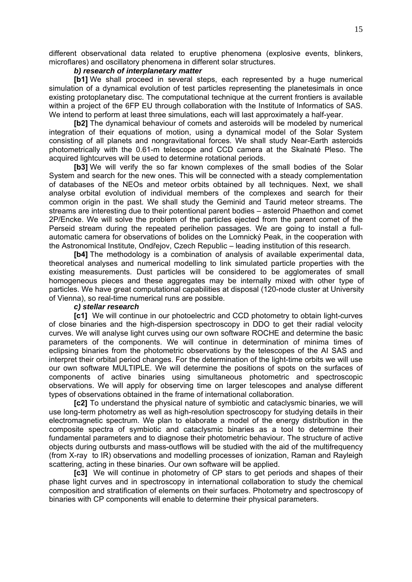different observational data related to eruptive phenomena (explosive events, blinkers, microflares) and oscillatory phenomena in different solar structures.

#### *b) research of interplanetary matter*

**[b1]** We shall proceed in several steps, each represented by a huge numerical simulation of a dynamical evolution of test particles representing the planetesimals in once existing protoplanetary disc. The computational technique at the current frontiers is available within a project of the 6FP EU through collaboration with the Institute of Informatics of SAS. We intend to perform at least three simulations, each will last approximately a half-year.

**[b2]** The dynamical behaviour of comets and asteroids will be modeled by numerical integration of their equations of motion, using a dynamical model of the Solar System consisting of all planets and nongravitational forces. We shall study Near-Earth asteroids photometrically with the 0.61-m telescope and CCD camera at the Skalnaté Pleso. The acquired lightcurves will be used to determine rotational periods.

**[b3]** We will verify the so far known complexes of the small bodies of the Solar System and search for the new ones. This will be connected with a steady complementation of databases of the NEOs and meteor orbits obtained by all techniques. Next, we shall analyse orbital evolution of individual members of the complexes and search for their common origin in the past. We shall study the Geminid and Taurid meteor streams. The streams are interesting due to their potentional parent bodies – asteroid Phaethon and comet 2P/Encke. We will solve the problem of the particles ejected from the parent comet of the Perseid stream during the repeated perihelion passages. We are going to install a fullautomatic camera for observations of bolides on the Lomnický Peak, in the cooperation with the Astronomical Institute, Ondřejov, Czech Republic – leading institution of this research.

**[b4]** The methodology is a combination of analysis of available experimental data, theoretical analyses and numerical modelling to link simulated particle properties with the existing measurements. Dust particles will be considered to be agglomerates of small homogeneous pieces and these aggregates may be internally mixed with other type of particles. We have great computational capabilities at disposal (120-node cluster at University of Vienna), so real-time numerical runs are possible.

#### *c) stellar research*

**[c1]** We will continue in our photoelectric and CCD photometry to obtain light-curves of close binaries and the high-dispersion spectroscopy in DDO to get their radial velocity curves. We will analyse light curves using our own software ROCHE and determine the basic parameters of the components. We will continue in determination of minima times of eclipsing binaries from the photometric observations by the telescopes of the AI SAS and interpret their orbital period changes. For the determination of the light-time orbits we will use our own software MULTIPLE. We will determine the positions of spots on the surfaces of components of active binaries using simultaneous photometric and spectroscopic observations. We will apply for observing time on larger telescopes and analyse different types of observations obtained in the frame of international collaboration.

**[c2]** To understand the physical nature of symbiotic and cataclysmic binaries, we will use long-term photometry as well as high-resolution spectroscopy for studying details in their electromagnetic spectrum. We plan to elaborate a model of the energy distribution in the composite spectra of symbiotic and cataclysmic binaries as a tool to determine their fundamental parameters and to diagnose their photometric behaviour. The structure of active objects during outbursts and mass-outflows will be studied with the aid of the multifrequency (from X-ray to IR) observations and modelling processes of ionization, Raman and Rayleigh scattering, acting in these binaries. Our own software will be applied.

**[c3]** We will continue in photometry of CP stars to get periods and shapes of their phase light curves and in spectroscopy in international collaboration to study the chemical composition and stratification of elements on their surfaces. Photometry and spectroscopy of binaries with CP components will enable to determine their physical parameters.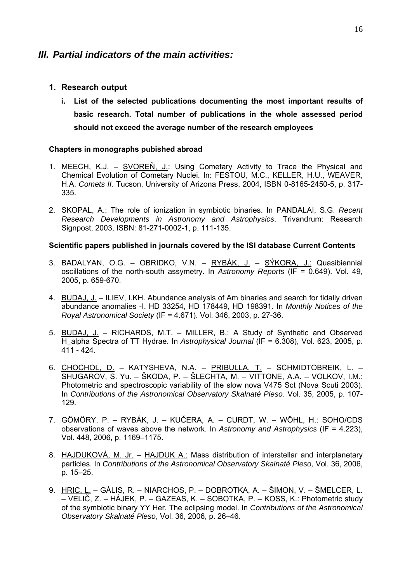## *III. Partial indicators of the main activities:*

## **1. Research output**

**i. List of the selected publications documenting the most important results of basic research. Total number of publications in the whole assessed period should not exceed the average number of the research employees** 

#### **Chapters in monographs pubished abroad**

- 1. MEECH, K.J. SVOREŇ, J.: Using Cometary Activity to Trace the Physical and Chemical Evolution of Cometary Nuclei. In: FESTOU, M.C., KELLER, H.U., WEAVER, H.A. *Comets II.* Tucson, University of Arizona Press, 2004, ISBN 0-8165-2450-5, p. 317- 335.
- 2. SKOPAL, A.: The role of ionization in symbiotic binaries. In PANDALAI, S.G. *Recent Research Developments in Astronomy and Astrophysics*. Trivandrum: Research Signpost, 2003, ISBN: 81-271-0002-1, p. 111-135.

#### **Scientific papers published in journals covered by the ISI database Current Contents**

- 3. BADALYAN, O.G. OBRIDKO, V.N. RYBÁK, J. SÝKORA, J.: Quasibiennial oscillations of the north-south assymetry. In *Astronomy Reports* (IF = 0.649). Vol. 49, 2005, p. 659-670.
- 4. BUDAJ, J. ILIEV, I.KH. Abundance analysis of Am binaries and search for tidally driven abundance anomalies -I. HD 33254, HD 178449, HD 198391. In *Monthly Notices of the Royal Astronomical Society* (IF = 4.671). Vol. 346, 2003, p. 27-36.
- 5. BUDAJ, J. RICHARDS, M.T. MILLER, B.: A Study of Synthetic and Observed H\_alpha Spectra of TT Hydrae. In *Astrophysical Journal* (IF = 6.308), Vol. 623, 2005, p. 411 - 424.
- 6. CHOCHOL, D. KATYSHEVA, N.A. PRIBULLA, T. SCHMIDTOBREIK, L. SHUGAROV, S. Yu. – ŠKODA, P. – ŠLECHTA, M. – VITTONE, A.A. – VOLKOV, I.M.: Photometric and spectroscopic variability of the slow nova V475 Sct (Nova Scuti 2003). In *Contributions of the Astronomical Observatory Skalnaté Pleso*. Vol. 35, 2005, p. 107- 129.
- 7. GÖMÖRY, P. RYBÁK, J. KUČERA, A. CURDT, W. WÖHL, H.: SOHO/CDS observations of waves above the network. In *Astronomy and Astrophysics* (IF = 4.223), Vol. 448, 2006, p. 1169–1175.
- 8. HAJDUKOVÁ, M. Jr. HAJDUK A.: Mass distribution of interstellar and interplanetary particles. In *Contributions of the Astronomical Observatory Skalnaté Pleso,* Vol. 36, 2006, p. 15–25.
- 9. HRIC, L. GÁLIS, R. NIARCHOS, P. DOBROTKA, A. ŠIMON, V. ŠMELCER, L. – VELIČ, Z. – HÁJEK, P. – GAZEAS, K. – SOBOTKA, P. – KOSS, K.: Photometric study of the symbiotic binary YY Her. The eclipsing model. In *Contributions of the Astronomical Observatory Skalnaté Pleso*, Vol. 36, 2006, p. 26–46.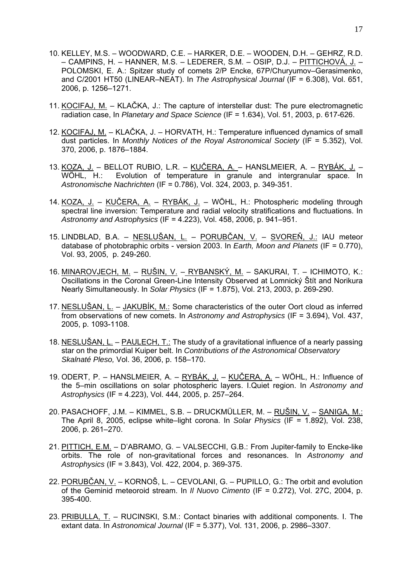- 10. KELLEY, M.S. WOODWARD, C.E. HARKER, D.E. WOODEN, D.H. GEHRZ, R.D. – CAMPINS, H. – HANNER, M.S. – LEDERER, S.M. – OSIP, D.J. – PITTICHOVÁ, J. – POLOMSKI, E. A.: Spitzer study of comets 2/P Encke, 67P/Churyumov–Gerasimenko, and C/2001 HT50 (LINEAR–NEAT). In *The Astrophysical Journal* (IF = 6.308), Vol. 651, 2006, p. 1256–1271.
- 11. KOCIFAJ, M. KLAČKA, J.: The capture of interstellar dust: The pure electromagnetic radiation case, In *Planetary and Space Science* (IF = 1.634), Vol. 51, 2003, p. 617-626.
- 12. KOCIFAJ, M. KLAČKA, J. HORVATH, H.: Temperature influenced dynamics of small dust particles. In *Monthly Notices of the Royal Astronomical Society* (IF = 5.352), Vol. 370, 2006, p. 1876–1884.
- 13. KOZA, J. BELLOT RUBIO, L.R. KUČERA, A. HANSLMEIER, A. RYBÁK, J. WÖHL, H.: Evolution of temperature in granule and intergranular space. In *Astronomische Nachrichten* (IF = 0.786), Vol. 324, 2003, p. 349-351.
- 14. KOZA, J. KUČERA, A. RYBÁK, J. WÖHL, H.: Photospheric modeling through spectral line inversion: Temperature and radial velocity stratifications and fluctuations. In *Astronomy and Astrophysics* (IF = 4.223), Vol. 458, 2006, p. 941–951.
- 15. LINDBLAD, B.A. NESLUŠAN, L. PORUBČAN, V. SVOREŇ, J.: IAU meteor database of photobraphic orbits - version 2003. In *Earth, Moon and Planets* (IF = 0.770), Vol. 93, 2005, p. 249-260.
- 16. MINAROVJECH, M. RUŠIN, V. RYBANSKÝ, M. SAKURAI, T. ICHIMOTO, K.: Oscillations in the Coronal Green-Line Intensity Observed at Lomnický Štít and Norikura Nearly Simultaneously. In *Solar Physics* (IF = 1.875), Vol. 213, 2003, p. 269-290.
- 17. NESLUŠAN, L. JAKUBÍK, M.: Some characteristics of the outer Oort cloud as inferred from observations of new comets. In *Astronomy and Astrophysics* (IF = 3.694), Vol. 437, 2005, p. 1093-1108.
- 18. NESLUŠAN,  $L = PAULECH$ , T.: The study of a gravitational influence of a nearly passing star on the primordial Kuiper belt. In *Contributions of the Astronomical Observatory Skalnaté Pleso,* Vol. 36, 2006, p. 158–170.
- 19. ODERT, P. HANSLMEIER, A. RYBÁK, J. KUČERA, A. WÖHL, H.: Influence of the 5–min oscillations on solar photospheric layers. I.Quiet region. In *Astronomy and Astrophysics* (IF = 4.223), Vol. 444, 2005, p. 257–264.
- 20. PASACHOFF, J.M. KIMMEL, S.B. DRUCKMÜLLER, M. RUŠIN, V. SANIGA, M.: The April 8, 2005, eclipse white–light corona. In *Solar Physics* (IF = 1.892), Vol. 238, 2006, p. 261–270.
- 21. PITTICH, E.M. D'ABRAMO, G. VALSECCHI, G.B.: From Jupiter-family to Encke-like orbits. The role of non-gravitational forces and resonances. In *Astronomy and Astrophysics* (IF = 3.843), Vol. 422, 2004, p. 369-375.
- 22. PORUBČAN, V. KORNOŠ, L. CEVOLANI, G. PUPILLO, G.: The orbit and evolution of the Geminid meteoroid stream. In *Il Nuovo Cimento* (IF = 0.272), Vol. 27C, 2004, p. 395-400.
- 23. PRIBULLA, T. RUCINSKI, S.M.: Contact binaries with additional components. I. The extant data. In *Astronomical Journal* (IF = 5.377), Vol. 131, 2006, p. 2986–3307.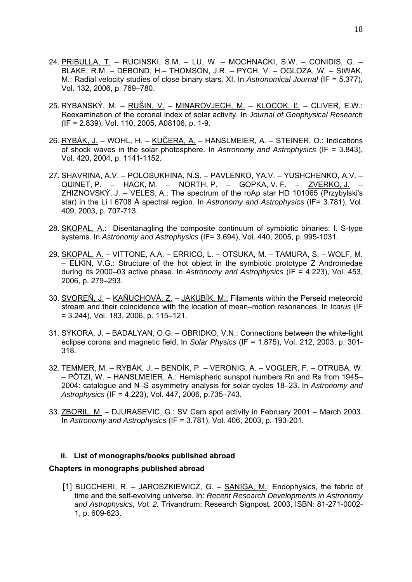- 24. PRIBULLA, T. RUCINSKI, S.M. LU, W. MOCHNACKI, S.W. CONIDIS, G. BLAKE, R.M. – DEBOND, H.– THOMSON, J.R. – PYCH, V. – OGLOZA, W. – SIWAK, M.: Radial velocity studies of close binary stars. XI. In *Astronomical Journal* (IF = 5.377), Vol. 132, 2006, p. 769–780.
- 25. RYBANSKÝ, M. RUŠIN, V. MINAROVJECH, M. KLOCOK, Ľ. CLIVER, E.W.: Reexamination of the coronal index of solar activity. In *Journal of Geophysical Research*  (IF = 2.839), Vol. 110, 2005, A08106, p. 1-9.
- 26. RYBÁK, J. WOHL, H. KUČERA, A. HANSLMEIER, A. STEINER, O.: Indications of shock waves in the solar photosphere. In *Astronomy and Astrophysics* (IF = 3.843), Vol. 420, 2004, p. 1141-1152.
- 27. SHAVRINA, A.V. POLOSUKHINA, N.S. PAVLENKO, YA.V. YUSHCHENKO, A.V. QUINET, P. – HACK, M. – NORTH, P. – GOPKA, V. F. – <u>ZVERKO, J.</u> ZHIZNOVSKÝ, J. – VELES, A.: The spectrum of the roAp star HD 101065 (Przybylski's star) in the Li I 6708 Å spectral region. In *Astronomy and Astrophysics* (IF= 3.781), Vol. 409, 2003, p. 707-713.
- 28. SKOPAL, A.: Disentanagling the composite continuum of symbiotic binaries: I. S-type systems. In *Astronomy and Astrophysics* (IF= 3.694), Vol. 440, 2005, p. 995-1031.
- 29. SKOPAL, A. VITTONE, A.A. ERRICO, L. OTSUKA, M. TAMURA, S. WOLF, M. – ELKIN, V.G.: Structure of the hot object in the symbiotic prototype Z Andromedae during its 2000–03 active phase. In *Astronomy and Astrophysics* (IF = 4.223), Vol. 453, 2006, p. 279–293.
- 30. SVOREŇ, J. KAŇUCHOVÁ, Z. JAKUBÍK, M.: Filaments within the Perseid meteoroid stream and their coincidence with the location of mean–motion resonances. In *Icarus* (IF = 3.244), Vol. 183, 2006, p. 115–121.
- 31. SÝKORA, J. BADALYAN, O.G. OBRIDKO, V.N.: Connections between the white-light eclipse corona and magnetic field, In *Solar Physics* (IF = 1.875), Vol. 212, 2003, p. 301- 318.
- 32. TEMMER, M. RYBÁK, J. BENDÍK, P. VERONIG, A. VOGLER, F. OTRUBA, W. – PÖTZI, W. – HANSLMEIER, A.: Hemispheric sunspot numbers Rn and Rs from 1945– 2004: catalogue and N–S asymmetry analysis for solar cycles 18–23. In *Astronomy and Astrophysics* (IF = 4.223), Vol. 447, 2006, p.735–743.
- 33. ZBORIL, M. DJURASEVIC, G.: SV Cam spot activity in February 2001 March 2003. In *Astronomy and Astrophysics* (IF = 3.781), Vol. 406, 2003, p. 193-201.

#### **ii. List of monographs/books published abroad**

#### **Chapters in monographs published abroad**

[1] BUCCHERI, R. - JAROSZKIEWICZ, G. - SANIGA, M.: Endophysics, the fabric of time and the self-evolving universe. In: *Recent Research Developments in Astronomy and Astrophysics, Vol. 2.* Trivandrum: Research Signpost, 2003, ISBN: 81-271-0002- 1, p. 609-623.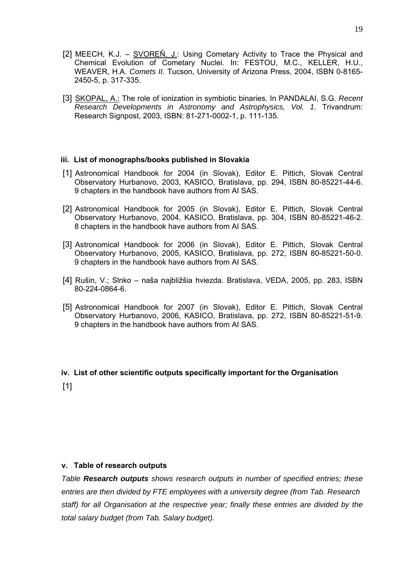- [2] MEECH, K.J. SVOREŇ, J.: Using Cometary Activity to Trace the Physical and Chemical Evolution of Cometary Nuclei. In: FESTOU, M.C., KELLER, H.U., WEAVER, H.A. *Comets II.* Tucson, University of Arizona Press, 2004, ISBN 0-8165- 2450-5, p. 317-335.
- [3] SKOPAL, A.: The role of ionization in symbiotic binaries. In PANDALAI, S.G. *Recent Research Developments in Astronomy and Astrophysics, Vol. 1*. Trivandrum: Research Signpost, 2003, ISBN: 81-271-0002-1, p. 111-135.

#### **iii. List of monographs/books published in Slovakia**

- [1] Astronomical Handbook for 2004 (in Slovak), Editor E. Pittich, Slovak Central Observatory Hurbanovo, 2003, KASICO, Bratislava, pp. 294, ISBN 80-85221-44-6. 9 chapters in the handbook have authors from AI SAS.
- [2] Astronomical Handbook for 2005 (in Slovak), Editor E. Pittich, Slovak Central Observatory Hurbanovo, 2004, KASICO, Bratislava, pp. 304, ISBN 80-85221-46-2. 8 chapters in the handbook have authors from AI SAS.
- [3] Astronomical Handbook for 2006 (in Slovak), Editor E. Pittich, Slovak Central Observatory Hurbanovo, 2005, KASICO, Bratislava, pp. 272, ISBN 80-85221-50-0. 9 chapters in the handbook have authors from AI SAS.
- [4] Rušin, V.; Slnko naša najbližšia hviezda. Bratislava, VEDA, 2005, pp. 283, ISBN 80-224-0864-6.
- [5] Astronomical Handbook for 2007 (in Slovak), Editor E. Pittich, Slovak Central Observatory Hurbanovo, 2006, KASICO, Bratislava, pp. 272, ISBN 80-85221-51-9. 9 chapters in the handbook have authors from AI SAS.

# **iv. List of other scientific outputs specifically important for the Organisation**   $[1]$

#### **v. Table of research outputs**

*Table Research outputs shows research outputs in number of specified entries; these entries are then divided by FTE employees with a university degree (from Tab. Research staff) for all Organisation at the respective year; finally these entries are divided by the total salary budget (from Tab. Salary budget).*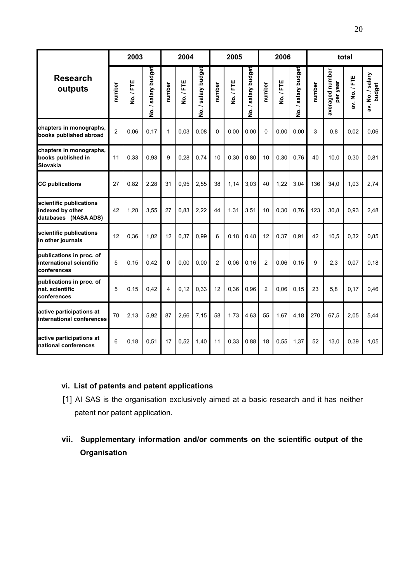|                                                                     |                | 2003<br>2004 |                     |              |         |                     | 2005           |         | 2006                |                |         | total               |        |                             |               |                            |
|---------------------------------------------------------------------|----------------|--------------|---------------------|--------------|---------|---------------------|----------------|---------|---------------------|----------------|---------|---------------------|--------|-----------------------------|---------------|----------------------------|
| <b>Research</b><br>outputs                                          | number         | No./FTE      | No. / salary budget | number       | No./FTE | No. / salary budget | number         | No./FTE | No. / salary budget | number         | No./FTE | No. / salary budget | number | averaged number<br>per year | av. No. / FTE | av. No. / salary<br>budget |
| chapters in monographs,<br>books published abroad                   | $\overline{c}$ | 0.06         | 0,17                | $\mathbf{1}$ | 0,03    | 0.08                | $\Omega$       | 0.00    | 0,00                | $\Omega$       | 0.00    | 0,00                | 3      | 0.8                         | 0,02          | 0,06                       |
| chapters in monographs,<br>books published in<br><b>Slovakia</b>    | 11             | 0,33         | 0,93                | 9            | 0,28    | 0,74                | 10             | 0,30    | 0,80                | 10             | 0,30    | 0,76                | 40     | 10,0                        | 0,30          | 0,81                       |
| <b>CC publications</b>                                              | 27             | 0.82         | 2,28                | 31           | 0,95    | 2,55                | 38             | 1,14    | 3,03                | 40             | 1,22    | 3,04                | 136    | 34,0                        | 1,03          | 2,74                       |
| scientific publications<br>indexed by other<br>databases (NASA ADS) | 42             | 1.28         | 3.55                | 27           | 0.83    | 2.22                | 44             | 1,31    | 3,51                | 10             | 0,30    | 0.76                | 123    | 30.8                        | 0.93          | 2.48                       |
| scientific publications<br>in other journals                        | 12             | 0,36         | 1,02                | 12           | 0,37    | 0,99                | 6              | 0,18    | 0,48                | 12             | 0,37    | 0,91                | 42     | 10,5                        | 0,32          | 0,85                       |
| publications in proc. of<br>international scientific<br>conferences | 5              | 0.15         | 0,42                | $\mathbf{0}$ | 0,00    | 0,00                | $\overline{2}$ | 0,06    | 0, 16               | $\overline{2}$ | 0.06    | 0, 15               | 9      | 2,3                         | 0,07          | 0,18                       |
| publications in proc. of<br>nat. scientific<br>conferences          | 5              | 0.15         | 0,42                | 4            | 0,12    | 0,33                | 12             | 0,36    | 0,96                | $\overline{2}$ | 0,06    | 0, 15               | 23     | 5,8                         | 0,17          | 0,46                       |
| active participations at<br>international conferences               | 70             | 2,13         | 5,92                | 87           | 2,66    | 7,15                | 58             | 1,73    | 4,63                | 55             | 1,67    | 4,18                | 270    | 67,5                        | 2,05          | 5,44                       |
| active participations at<br>national conferences                    | 6              | 0.18         | 0,51                | 17           | 0,52    | 1,40                | 11             | 0,33    | 0,88                | 18             | 0,55    | 1,37                | 52     | 13,0                        | 0,39          | 1,05                       |

## **vi. List of patents and patent applications**

- [1] AI SAS is the organisation exclusively aimed at a basic research and it has neither patent nor patent application.
- **vii. Supplementary information and/or comments on the scientific output of the Organisation**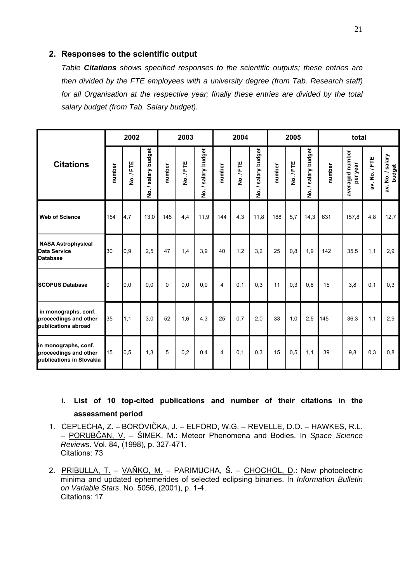#### **2. Responses to the scientific output**

*Table Citations shows specified responses to the scientific outputs; these entries are then divided by the FTE employees with a university degree (from Tab. Research staff) for all Organisation at the respective year; finally these entries are divided by the total salary budget (from Tab. Salary budget).* 

|                                                                           |        | 2002      |                                          |        | 2003      |                     |        | 2004      |                                                       |        | 2005      |                     |        | total                       |               |                            |
|---------------------------------------------------------------------------|--------|-----------|------------------------------------------|--------|-----------|---------------------|--------|-----------|-------------------------------------------------------|--------|-----------|---------------------|--------|-----------------------------|---------------|----------------------------|
| <b>Citations</b>                                                          | number | No. / FTE | salary budget<br>∽<br>$\dot{\mathbf{z}}$ | number | No. / FTE | No. / salary budget | number | No. / FTE | salary budget<br>$\overline{\phantom{0}}$<br><u>o</u> | number | No. / FTE | No. / salary budget | number | averaged number<br>per year | av. No. / FTE | av. No. / salary<br>budget |
| <b>Web of Science</b>                                                     | 154    | 4,7       | 13,0                                     | 145    | 4,4       | 11,9                | 144    | 4,3       | 11,8                                                  | 188    | 5,7       | 14,3                | 631    | 157,8                       | 4,8           | 12,7                       |
| <b>NASA Astrophysical</b><br><b>Data Service</b><br><b>Database</b>       | 30     | 0,9       | 2,5                                      | 47     | 1,4       | 3,9                 | 40     | 1,2       | 3,2                                                   | 25     | 0,8       | 1,9                 | 142    | 35,5                        | 1,1           | 2,9                        |
| <b>SCOPUS Database</b>                                                    | O      | 0.0       | 0.0                                      | 0      | 0.0       | 0.0                 | 4      | 0.1       | 0.3                                                   | 11     | 0,3       | 0.8                 | 15     | 3.8                         | 0,1           | 0,3                        |
| in monographs, conf.<br>proceedings and other<br>publications abroad      | 35     | 1,1       | 3,0                                      | 52     | 1,6       | 4,3                 | 25     | 0.7       | 2,0                                                   | 33     | 1,0       | 2,5                 | 145    | 36,3                        | 1,1           | 2,9                        |
| in monographs, conf.<br>proceedings and other<br>publications in Slovakia | 15     | 0,5       | 1,3                                      | 5      | 0,2       | 0,4                 | 4      | 0.1       | 0.3                                                   | 15     | 0,5       | 1,1                 | 39     | 9,8                         | 0,3           | 0,8                        |

## **i. List of 10 top-cited publications and number of their citations in the assessment period**

- 1. CEPLECHA, Z. BOROVIČKA, J. ELFORD, W.G. REVELLE, D.O. HAWKES, R.L. – PORUBČAN, V. – ŠIMEK, M.: Meteor Phenomena and Bodies. In *Space Science Reviews*. Vol. 84, (1998), p. 327-471. Citations: 73
- 2. PRIBULLA, T. VAŇKO, M. PARIMUCHA, Š. CHOCHOL, D.: New photoelectric minima and updated ephemerides of selected eclipsing binaries. In *Information Bulletin on Variable Stars*. No. 5056, (2001), p. 1-4. Citations: 17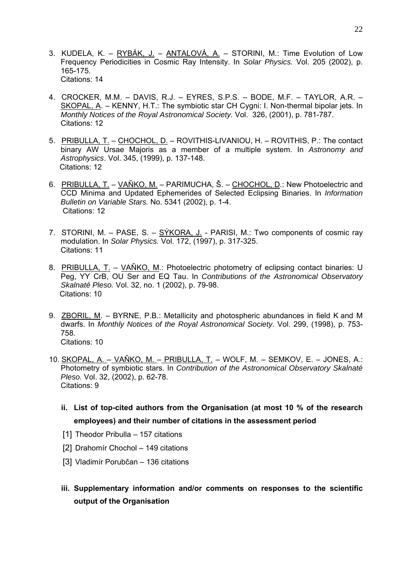- 3. KUDELA, K. RYBÁK, J. ANTALOVÁ, A. STORINI, M.: Time Evolution of Low Frequency Periodicities in Cosmic Ray Intensity. In *Solar Physics.* Vol. 205 (2002), p. 165-175. Citations: 14
- 4. CROCKER, M.M. DAVIS, R.J. EYRES, S.P.S. BODE, M.F. TAYLOR, A.R. SKOPAL, A. – KENNY, H.T.: The symbiotic star CH Cygni: I. Non-thermal bipolar jets. In *Monthly Notices of the Royal Astronomical Society.* Vol. 326, (2001), p. 781-787. Citations: 12
- 5. PRIBULLA, T. CHOCHOL, D. ROVITHIS-LIVANIOU, H. ROVITHIS, P.: The contact binary AW Ursae Majoris as a member of a multiple system. In *Astronomy and Astrophysics*. Vol. 345, (1999), p. 137-148. Citations: 12
- 6. PRIBULLA, T. VAŇKO, M. PARIMUCHA, Š. CHOCHOL, D.: New Photoelectric and CCD Minima and Updated Ephemerides of Selected Eclipsing Binaries. In *Information Bulletin on Variable Stars.* No. 5341 (2002), p. 1-4. Citations: 12
- 7. STORINI, M. PASE, S. SÝKORA, J. PARISI, M.: Two components of cosmic ray modulation. In *Solar Physics.* Vol. 172, (1997), p. 317-325. Citations: 11
- 8. PRIBULLA, T. VAŇKO, M.: Photoelectric photometry of eclipsing contact binaries: U Peg, YY CrB, OU Ser and EQ Tau. In *Contributions of the Astronomical Observatory Skalnaté Pleso.* Vol. 32, no. 1 (2002), p. 79-98. Citations: 10
- 9. ZBORIL, M. BYRNE, P.B.: Metallicity and photospheric abundances in field K and M dwarfs. In *Monthly Notices of the Royal Astronomical Society*. Vol. 299, (1998), p. 753- 758. Citations: 10
- 10. SKOPAL, A. VAŇKO, M. PRIBULLA, T. WOLF, M. SEMKOV, E. JONES, A.: Photometry of symbiotic stars. In *Contribution of the Astronomical Observatory Skalnaté Pleso.* Vol. 32, (2002), p. 62-78. Citations: 9
	- **ii. List of top-cited authors from the Organisation (at most 10 % of the research employees) and their number of citations in the assessment period**
	- [1] Theodor Pribulla 157 citations
	- [2] Drahomír Chochol 149 citations
	- [3] Vladimír Porubčan 136 citations
	- **iii. Supplementary information and/or comments on responses to the scientific output of the Organisation**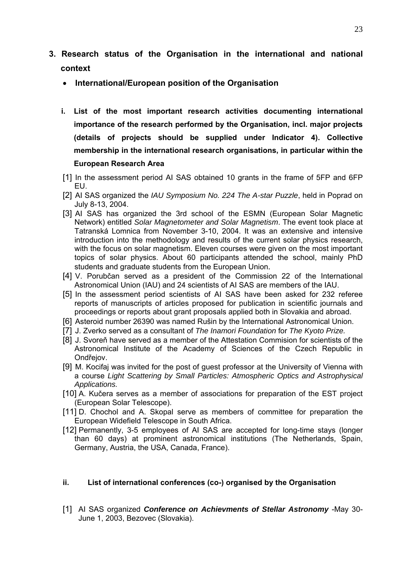- **3. Research status of the Organisation in the international and national context** 
	- **International/European position of the Organisation**
	- **i. List of the most important research activities documenting international importance of the research performed by the Organisation, incl. major projects (details of projects should be supplied under Indicator 4). Collective membership in the international research organisations, in particular within the European Research Area**
	- [1] In the assessment period AI SAS obtained 10 grants in the frame of 5FP and 6FP EU.
	- [2] AI SAS organized the *IAU Symposium No. 224 The A-star Puzzle*, held in Poprad on July 8-13, 2004.
	- [3] AI SAS has organized the 3rd school of the ESMN (European Solar Magnetic Network) entitled *Solar Magnetometer and Solar Magnetism*. The event took place at Tatranská Lomnica from November 3-10, 2004. It was an extensive and intensive introduction into the methodology and results of the current solar physics research, with the focus on solar magnetism. Eleven courses were given on the most important topics of solar physics. About 60 participants attended the school, mainly PhD students and graduate students from the European Union.
	- [4] V. Porubčan served as a president of the Commission 22 of the International Astronomical Union (IAU) and 24 scientists of AI SAS are members of the IAU.
	- [5] In the assessment period scientists of AI SAS have been asked for 232 referee reports of manuscripts of articles proposed for publication in scientific journals and proceedings or reports about grant proposals applied both in Slovakia and abroad.
	- [6] Asteroid number 26390 was named Rušin by the International Astronomical Union.
	- [7] J. Zverko served as a consultant of *The Inamori Foundation* for *The Kyoto Prize.*
	- [8] J. Svoreň have served as a member of the Attestation Commision for scientists of the Astronomical Institute of the Academy of Sciences of the Czech Republic in Ondřejov.
	- [9] M. Kocifaj was invited for the post of guest professor at the University of Vienna with a course *Light Scattering by Small Particles: Atmospheric Optics and Astrophysical Applications.*
	- [10] A. Kučera serves as a member of associations for preparation of the EST project (European Solar Telescope).
	- [11] D. Chochol and A. Skopal serve as members of committee for preparation the European Widefield Telescope in South Africa.
	- [12] Permanently, 3-5 employees of AI SAS are accepted for long-time stays (longer than 60 days) at prominent astronomical institutions (The Netherlands, Spain, Germany, Austria, the USA, Canada, France).

#### **ii. List of international conferences (co-) organised by the Organisation**

[1] AI SAS organized *Conference on Achievments of Stellar Astronomy* -May 30- June 1, 2003, Bezovec (Slovakia).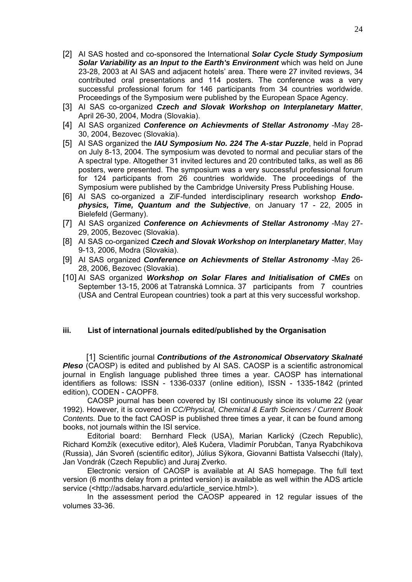- [2] AI SAS hosted and co-sponsored the International *Solar Cycle Study Symposium Solar Variability as an Input to the Earth's Environment* which was held on June 23-28, 2003 at AI SAS and adjacent hotels' area. There were 27 invited reviews, 34 contributed oral presentations and 114 posters. The conference was a very successful professional forum for 146 participants from 34 countries worldwide. Proceedings of the Symposium were published by the European Space Agency.
- [3] AI SAS co-organized *Czech and Slovak Workshop on Interplanetary Matter*, April 26-30, 2004, Modra (Slovakia).
- [4] AI SAS organized *Conference on Achievments of Stellar Astronomy* -May 28- 30, 2004, Bezovec (Slovakia).
- [5] AI SAS organized the *IAU Symposium No. 224 The A-star Puzzle*, held in Poprad on July 8-13, 2004. The symposium was devoted to normal and peculiar stars of the A spectral type. Altogether 31 invited lectures and 20 contributed talks, as well as 86 posters, were presented. The symposium was a very successful professional forum for 124 participants from 26 countries worldwide. The proceedings of the Symposium were published by the Cambridge University Press Publishing House.
- [6] AI SAS co-organized a ZiF-funded interdisciplinary research workshop *Endophysics, Time, Quantum and the Subjective*, on January 17 - 22, 2005 in Bielefeld (Germany).
- [7] AI SAS organized *Conference on Achievments of Stellar Astronomy* -May 27- 29, 2005, Bezovec (Slovakia).
- [8] AI SAS co-organized *Czech and Slovak Workshop on Interplanetary Matter*, May 9-13, 2006, Modra (Slovakia).
- [9] AI SAS organized *Conference on Achievments of Stellar Astronomy* -May 26- 28, 2006, Bezovec (Slovakia).
- [10] AI SAS organized *Workshop on Solar Flares and Initialisation of CMEs* on September 13-15, 2006 at Tatranská Lomnica. 37 participants from 7 countries (USA and Central European countries) took a part at this very successful workshop.

#### **iii. List of international journals edited/published by the Organisation**

[1] Scientific journal *Contributions of the Astronomical Observatory Skalnaté*  **Pleso** (CAOSP) is edited and published by AI SAS. CAOSP is a scientific astronomical journal in English language published three times a year. CAOSP has international identifiers as follows: ISSN - 1336-0337 (online edition), ISSN - 1335-1842 (printed edition), CODEN - CAOPF8.

CAOSP journal has been covered by ISI continuously since its volume 22 (year 1992). However, it is covered in *CC/Physical, Chemical & Earth Sciences / Current Book Contents.* Due to the fact CAOSP is published three times a year, it can be found among books, not journals within the ISI service.

Editorial board: Bernhard Fleck (USA), Marian Karlický (Czech Republic), Richard Komžík (executive editor), Aleš Kučera, Vladimír Porubčan, Tanya Ryabchikova (Russia), Ján Svoreň (scientific editor), Július Sýkora, Giovanni Battista Valsecchi (Italy), Jan Vondrák (Czech Republic) and Juraj Zverko.

Electronic version of CAOSP is available at AI SAS homepage. The full text version (6 months delay from a printed version) is available as well within the ADS article service (<http://adsabs.harvard.edu/article\_service.html>).

In the assessment period the CAOSP appeared in 12 regular issues of the volumes 33-36.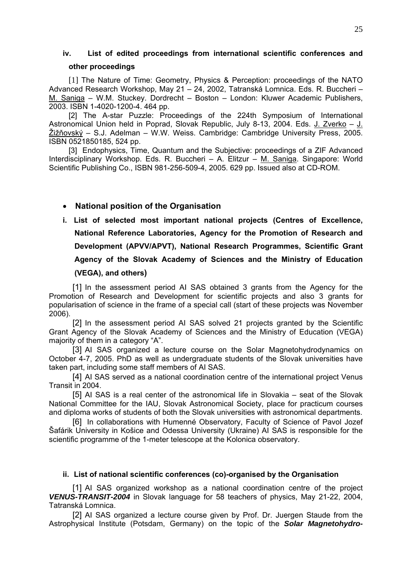## **iv. List of edited proceedings from international scientific conferences and other proceedings**

[1] The Nature of Time: Geometry, Physics & Perception: proceedings of the NATO Advanced Research Workshop, May 21 – 24, 2002, Tatranská Lomnica. Eds. R. Buccheri – M. Saniga – W.M. Stuckey. Dordrecht – Boston – London: Kluwer Academic Publishers, 2003. ISBN 1-4020-1200-4. 464 pp.

[2] The A-star Puzzle: Proceedings of the 224th Symposium of International Astronomical Union held in Poprad, Slovak Republic, July 8-13, 2004. Eds. J. Zverko – J. Žižňovský – S.J. Adelman – W.W. Weiss. Cambridge: Cambridge University Press, 2005. ISBN 0521850185, 524 pp.

[3] Endophysics, Time, Quantum and the Subjective: proceedings of a ZIF Advanced Interdisciplinary Workshop. Eds. R. Buccheri – A. Elitzur – M. Saniga. Singapore: World Scientific Publishing Co., ISBN 981-256-509-4, 2005. 629 pp. Issued also at CD-ROM.

## • **National position of the Organisation**

**i. List of selected most important national projects (Centres of Excellence, National Reference Laboratories, Agency for the Promotion of Research and Development (APVV/APVT), National Research Programmes, Scientific Grant Agency of the Slovak Academy of Sciences and the Ministry of Education (VEGA), and others)**

[1] In the assessment period AI SAS obtained 3 grants from the Agency for the Promotion of Research and Development for scientific projects and also 3 grants for popularisation of science in the frame of a special call (start of these projects was November 2006).

[2] In the assessment period AI SAS solved 21 projects granted by the Scientific Grant Agency of the Slovak Academy of Sciences and the Ministry of Education (VEGA) majority of them in a category "A".

[3] AI SAS organized a lecture course on the Solar Magnetohydrodynamics on October 4-7, 2005. PhD as well as undergraduate students of the Slovak universities have taken part, including some staff members of AI SAS.

[4] AI SAS served as a national coordination centre of the international project Venus Transit in 2004.

[5] AI SAS is a real center of the astronomical life in Slovakia – seat of the Slovak National Committee for the IAU, Slovak Astronomical Society, place for practicum courses and diploma works of students of both the Slovak universities with astronomical departments.

[6] In collaborations with Humenné Observatory, Faculty of Science of Pavol Jozef Šafárik University in Košice and Odessa University (Ukraine) AI SAS is responsible for the scientific programme of the 1-meter telescope at the Kolonica observatory.

#### **ii. List of national scientific conferences (co)-organised by the Organisation**

[1] AI SAS organized workshop as a national coordination centre of the project *VENUS-TRANSIT-2004* in Slovak language for 58 teachers of physics, May 21-22, 2004, Tatranská Lomnica.

[2] AI SAS organized a lecture course given by Prof. Dr. Juergen Staude from the Astrophysical Institute (Potsdam, Germany) on the topic of the *Solar Magnetohydro-*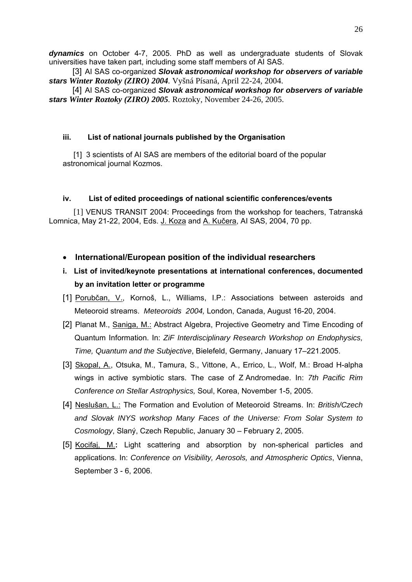*dynamics* on October 4-7, 2005. PhD as well as undergraduate students of Slovak universities have taken part, including some staff members of AI SAS.

[3] AI SAS co-organized **Slovak astronomical workshop for observers of variable** *stars Winter Roztoky (ZIRO) 2004.* Vyšná Písaná, April 22-24, 2004.

[4] AI SAS co-organized *Slovak astronomical workshop for observers of variable stars Winter Roztoky (ZIRO) 2005.* Roztoky, November 24-26, 2005.

#### **iii. List of national journals published by the Organisation**

[1] 3 scientists of AI SAS are members of the editorial board of the popular astronomical journal Kozmos.

#### **iv. List of edited proceedings of national scientific conferences/events**

[1] VENUS TRANSIT 2004: Proceedings from the workshop for teachers, Tatranská Lomnica, May 21-22, 2004, Eds. J. Koza and A. Kučera, AI SAS, 2004, 70 pp.

#### • **International/European position of the individual researchers**

- **i. List of invited/keynote presentations at international conferences, documented by an invitation letter or programme**
- [1] Porubčan, V., Kornoš, L., Williams, I.P.: Associations between asteroids and Meteoroid streams. *Meteoroids 2004,* London, Canada, August 16-20, 2004.
- [2] Planat M., Saniga, M.: Abstract Algebra, Projective Geometry and Time Encoding of Quantum Information. In: *ZiF Interdisciplinary Research Workshop on Endophysics, Time, Quantum and the Subjective*, Bielefeld, Germany, January 17–221.2005.
- [3] Skopal, A., Otsuka, M., Tamura, S., Vittone, A., Errico, L., Wolf, M.: Broad H-alpha wings in active symbiotic stars. The case of Z Andromedae. In: *7th Pacific Rim Conference on Stellar Astrophysics,* Soul, Korea, November 1-5, 2005.
- [4] Neslušan, L.: The Formation and Evolution of Meteoroid Streams. In: *British/Czech and Slovak INYS workshop Many Faces of the Universe: From Solar System to Cosmology*, Slaný, Czech Republic, January 30 – February 2, 2005.
- [5] Kocifaj, M.**:** Light scattering and absorption by non-spherical particles and applications. In: *Conference on Visibility, Aerosols, and Atmospheric Optics*, Vienna, September 3 - 6, 2006.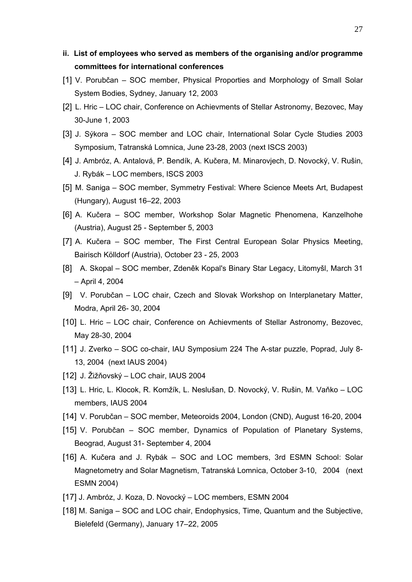- **ii. List of employees who served as members of the organising and/or programme committees for international conferences**
- [1] V. Porubčan SOC member, Physical Proporties and Morphology of Small Solar System Bodies, Sydney, January 12, 2003
- [2] L. Hric LOC chair, Conference on Achievments of Stellar Astronomy, Bezovec, May 30-June 1, 2003
- [3] J. Sýkora SOC member and LOC chair, International Solar Cycle Studies 2003 Symposium, Tatranská Lomnica, June 23-28, 2003 (next ISCS 2003)
- [4] J. Ambróz, A. Antalová, P. Bendík, A. Kučera, M. Minarovjech, D. Novocký, V. Rušin, J. Rybák – LOC members, ISCS 2003
- [5] M. Saniga SOC member, Symmetry Festival: Where Science Meets Art, Budapest (Hungary), August 16–22, 2003
- [6] A. Kučera SOC member, Workshop Solar Magnetic Phenomena, Kanzelhohe (Austria), August 25 - September 5, 2003
- [7] A. Kučera SOC member, The First Central European Solar Physics Meeting, Bairisch Kölldorf (Austria), October 23 - 25, 2003
- [8] A. Skopal SOC member, Zdeněk Kopal's Binary Star Legacy, Litomyšl, March 31 – April 4, 2004
- [9] V. Porubčan LOC chair, Czech and Slovak Workshop on Interplanetary Matter, Modra, April 26- 30, 2004
- [10] L. Hric LOC chair, Conference on Achievments of Stellar Astronomy, Bezovec, May 28-30, 2004
- [11] J. Zverko SOC co-chair, IAU Symposium 224 The A-star puzzle, Poprad, July 8- 13, 2004 (next IAUS 2004)
- [12] J. Žižňovský LOC chair, IAUS 2004
- [13] L. Hric, L. Klocok, R. Komžík, L. Neslušan, D. Novocký, V. Rušin, M. Vaňko LOC members, IAUS 2004
- [14] V. Porubčan SOC member, Meteoroids 2004, London (CND), August 16-20, 2004
- [15] V. Porubčan SOC member, Dynamics of Population of Planetary Systems, Beograd, August 31- September 4, 2004
- [16] A. Kučera and J. Rybák SOC and LOC members, 3rd ESMN School: Solar Magnetometry and Solar Magnetism, Tatranská Lomnica, October 3-10, 2004 (next ESMN 2004)
- [17] J. Ambróz, J. Koza, D. Novocký LOC members, ESMN 2004
- [18] M. Saniga SOC and LOC chair, Endophysics, Time, Quantum and the Subjective, Bielefeld (Germany), January 17–22, 2005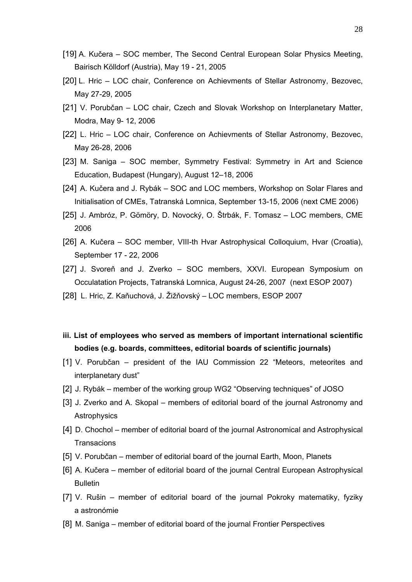- [19] A. Kučera SOC member, The Second Central European Solar Physics Meeting, Bairisch Kölldorf (Austria), May 19 - 21, 2005
- [20] L. Hric LOC chair, Conference on Achievments of Stellar Astronomy, Bezovec, May 27-29, 2005
- [21] V. Porubčan LOC chair, Czech and Slovak Workshop on Interplanetary Matter, Modra, May 9- 12, 2006
- [22] L. Hric LOC chair, Conference on Achievments of Stellar Astronomy, Bezovec, May 26-28, 2006
- [23] M. Saniga SOC member, Symmetry Festival: Symmetry in Art and Science Education, Budapest (Hungary), August 12–18, 2006
- [24] A. Kučera and J. Rybák SOC and LOC members, Workshop on Solar Flares and Initialisation of CMEs, Tatranská Lomnica, September 13-15, 2006 (next CME 2006)
- [25] J. Ambróz, P. Gömöry, D. Novocký, O. Štrbák, F. Tomasz LOC members, CME 2006
- [26] A. Kučera SOC member, VIII-th Hvar Astrophysical Colloquium, Hvar (Croatia), September 17 - 22, 2006
- [27] J. Svoreň and J. Zverko SOC members, XXVI. European Symposium on Occulatation Projects, Tatranská Lomnica, August 24-26, 2007 (next ESOP 2007)
- [28] L. Hric, Z. Kaňuchová, J. Žižňovský LOC members, ESOP 2007
- **iii. List of employees who served as members of important international scientific bodies (e.g. boards, committees, editorial boards of scientific journals)**
- [1] V. Porubčan president of the IAU Commission 22 "Meteors, meteorites and interplanetary dust"
- [2] J. Rybák member of the working group WG2 "Observing techniques" of JOSO
- [3] J. Zverko and A. Skopal members of editorial board of the journal Astronomy and Astrophysics
- [4] D. Chochol member of editorial board of the journal Astronomical and Astrophysical **Transacions**
- [5] V. Porubčan member of editorial board of the journal Earth, Moon, Planets
- [6] A. Kučera member of editorial board of the journal Central European Astrophysical Bulletin
- [7] V. Rušin member of editorial board of the journal Pokroky matematiky, fyziky a astronómie
- [8] M. Saniga member of editorial board of the journal Frontier Perspectives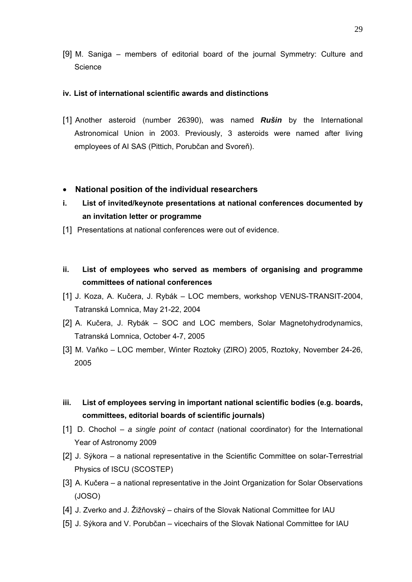[9] M. Saniga – members of editorial board of the journal Symmetry: Culture and **Science** 

#### **iv. List of international scientific awards and distinctions**

[1] Another asteroid (number 26390), was named *Rušin* by the International Astronomical Union in 2003. Previously, 3 asteroids were named after living employees of AI SAS (Pittich, Porubčan and Svoreň).

#### • **National position of the individual researchers**

- **i. List of invited/keynote presentations at national conferences documented by an invitation letter or programme**
- [1] Presentations at national conferences were out of evidence.
- **ii. List of employees who served as members of organising and programme committees of national conferences**
- [1] J. Koza, A. Kučera, J. Rybák LOC members, workshop VENUS-TRANSIT-2004, Tatranská Lomnica, May 21-22, 2004
- [2] A. Kučera, J. Rybák SOC and LOC members, Solar Magnetohydrodynamics, Tatranská Lomnica, October 4-7, 2005
- [3] M. Vaňko LOC member, Winter Roztoky (ZIRO) 2005, Roztoky, November 24-26, 2005
- **iii. List of employees serving in important national scientific bodies (e.g. boards, committees, editorial boards of scientific journals)**
- [1] D. Chochol *a single point of contact* (national coordinator) for the International Year of Astronomy 2009
- [2] J. Sýkora a national representative in the Scientific Committee on solar-Terrestrial Physics of ISCU (SCOSTEP)
- [3] A. Kučera a national representative in the Joint Organization for Solar Observations (JOSO)
- [4] J. Zverko and J. Žižňovský chairs of the Slovak National Committee for IAU
- [5] J. Sýkora and V. Porubčan vicechairs of the Slovak National Committee for IAU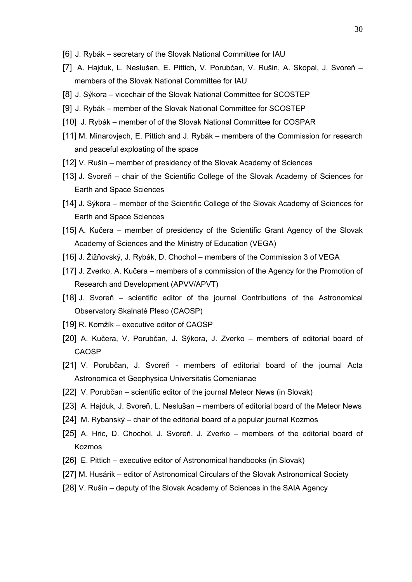- [6] J. Rybák secretary of the Slovak National Committee for IAU
- [7] A. Hajduk, L. Neslušan, E. Pittich, V. Porubčan, V. Rušin, A. Skopal, J. Svoreň members of the Slovak National Committee for IAU
- [8] J. Sýkora vicechair of the Slovak National Committee for SCOSTEP
- [9] J. Rybák member of the Slovak National Committee for SCOSTEP
- [10] J. Rybák member of of the Slovak National Committee for COSPAR
- [11] M. Minarovjech, E. Pittich and J. Rybák members of the Commission for research and peaceful exploating of the space
- [12] V. Rušin member of presidency of the Slovak Academy of Sciences
- [13] J. Svoreň chair of the Scientific College of the Slovak Academy of Sciences for Earth and Space Sciences
- [14] J. Sýkora member of the Scientific College of the Slovak Academy of Sciences for Earth and Space Sciences
- [15] A. Kučera member of presidency of the Scientific Grant Agency of the Slovak Academy of Sciences and the Ministry of Education (VEGA)
- [16] J. Žižňovský, J. Rybák, D. Chochol members of the Commission 3 of VEGA
- [17] J. Zverko, A. Kučera members of a commission of the Agency for the Promotion of Research and Development (APVV/APVT)
- [18] J. Svoreň scientific editor of the journal Contributions of the Astronomical Observatory Skalnaté Pleso (CAOSP)
- [19] R. Komžík executive editor of CAOSP
- [20] A. Kučera, V. Porubčan, J. Sýkora, J. Zverko members of editorial board of CAOSP
- [21] V. Porubčan, J. Svoreň members of editorial board of the journal Acta Astronomica et Geophysica Universitatis Comenianae
- [22] V. Porubčan scientific editor of the journal Meteor News (in Slovak)
- [23] A. Hajduk, J. Svoreň, L. Neslušan members of editorial board of the Meteor News
- [24] M. Rybanský chair of the editorial board of a popular journal Kozmos
- [25] A. Hric, D. Chochol, J. Svoreň, J. Zverko members of the editorial board of Kozmos
- [26] E. Pittich executive editor of Astronomical handbooks (in Slovak)
- [27] M. Husárik editor of Astronomical Circulars of the Slovak Astronomical Society
- [28] V. Rušin deputy of the Slovak Academy of Sciences in the SAIA Agency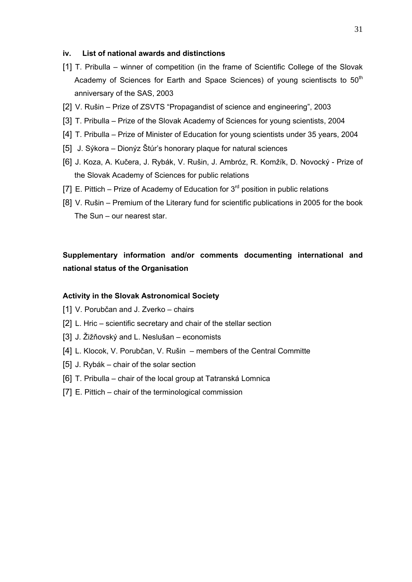#### **iv. List of national awards and distinctions**

- [1] T. Pribulla winner of competition (in the frame of Scientific College of the Slovak Academy of Sciences for Earth and Space Sciences) of young scientiscts to  $50<sup>th</sup>$ anniversary of the SAS, 2003
- [2] V. Rušin Prize of ZSVTS "Propagandist of science and engineering", 2003
- [3] T. Pribulla Prize of the Slovak Academy of Sciences for young scientists, 2004
- [4] T. Pribulla Prize of Minister of Education for young scientists under 35 years, 2004
- [5] J. Sýkora Dionýz Štúr's honorary plaque for natural sciences
- [6] J. Koza, A. Kučera, J. Rybák, V. Rušin, J. Ambróz, R. Komžík, D. Novocký Prize of the Slovak Academy of Sciences for public relations
- [7] E. Pittich Prize of Academy of Education for  $3<sup>rd</sup>$  position in public relations
- [8] V. Rušin Premium of the Literary fund for scientific publications in 2005 for the book The Sun – our nearest star.

# **Supplementary information and/or comments documenting international and national status of the Organisation**

#### **Activity in the Slovak Astronomical Society**

- [1] V. Porubčan and J. Zverko chairs
- [2] L. Hric scientific secretary and chair of the stellar section
- [3] J. Žižňovský and L. Neslušan economists
- [4] L. Klocok, V. Porubčan, V. Rušin members of the Central Committe
- [5] J. Rybák chair of the solar section
- [6] T. Pribulla chair of the local group at Tatranská Lomnica
- [7] E. Pittich chair of the terminological commission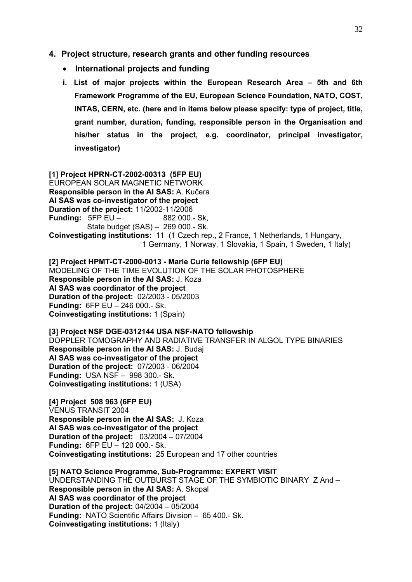#### **4. Project structure, research grants and other funding resources**

- **International projects and funding**
- **i. List of major projects within the European Research Area 5th and 6th Framework Programme of the EU, European Science Foundation, NATO, COST, INTAS, CERN, etc. (here and in items below please specify: type of project, title, grant number, duration, funding, responsible person in the Organisation and his/her status in the project, e.g. coordinator, principal investigator, investigator)**

**[1] Project HPRN-CT-2002-00313 (5FP EU)**  EUROPEAN SOLAR MAGNETIC NETWORK **Responsible person in the AI SAS:** A. Kučera **AI SAS was co-investigator of the project Duration of the project:** 11/2002-11/2006 **Funding: 5FP EU – 882 000.- Sk,**  State budget (SAS) – 269 000.- Sk. **Coinvestigating institutions:** 11 (1 Czech rep., 2 France, 1 Netherlands, 1 Hungary, 1 Germany, 1 Norway, 1 Slovakia, 1 Spain, 1 Sweden, 1 Italy)

**[2] Project HPMT-CT-2000-0013 - Marie Curie fellowship (6FP EU)**  MODELING OF THE TIME EVOLUTION OF THE SOLAR PHOTOSPHERE **Responsible person in the AI SAS:** J. Koza **AI SAS was coordinator of the project Duration of the project:** 02/2003 - 05/2003 **Funding:** 6FP EU – 246 000.- Sk. **Coinvestigating institutions:** 1 (Spain)

**[3] Project NSF DGE-0312144 USA NSF-NATO fellowship**  DOPPLER TOMOGRAPHY AND RADIATIVE TRANSFER IN ALGOL TYPE BINARIES **Responsible person in the AI SAS:** J. Budaj **AI SAS was co-investigator of the project Duration of the project:** 07/2003 - 06/2004 **Funding:** USA NSF – 998 300.- Sk. **Coinvestigating institutions:** 1 (USA)

**[4] Project 508 963 (6FP EU)**  VENUS TRANSIT 2004 **Responsible person in the AI SAS:** J. Koza **AI SAS was co-investigator of the project Duration of the project:** 03/2004 – 07/2004 **Funding:** 6FP EU – 120 000.- Sk. **Coinvestigating institutions:** 25 European and 17 other countries

**[5] NATO Science Programme, Sub-Programme: EXPERT VISIT** UNDERSTANDING THE OUTBURST STAGE OF THE SYMBIOTIC BINARY Z And – **Responsible person in the AI SAS:** A. Skopal **AI SAS was coordinator of the project Duration of the project:** 04/2004 – 05/2004 **Funding:** NATO Scientific Affairs Division – 65 400.- Sk. **Coinvestigating institutions:** 1 (Italy)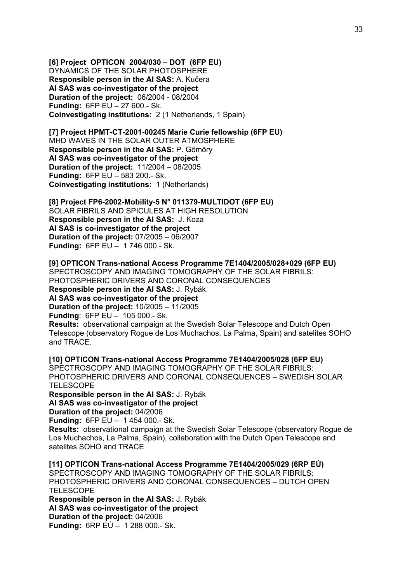**[6] Project OPTICON 2004/030 – DOT (6FP EU)**  DYNAMICS OF THE SOLAR PHOTOSPHERE **Responsible person in the AI SAS:** A. Kučera **AI SAS was co-investigator of the project Duration of the project:** 06/2004 - 08/2004 **Funding:** 6FP EU – 27 600.- Sk. **Coinvestigating institutions:** 2 (1 Netherlands, 1 Spain)

**[7] Project HPMT-CT-2001-00245 Marie Curie fellowship (6FP EU)**  MHD WAVES IN THE SOLAR OUTER ATMOSPHERE **Responsible person in the AI SAS:** P. Gőmőry **AI SAS was co-investigator of the project Duration of the project:** 11/2004 – 08/2005 **Funding:** 6FP EU – 583 200.- Sk. **Coinvestigating institutions:** 1 (Netherlands)

**[8] Project FP6-2002-Mobility-5 N° 011379-MULTIDOT (6FP EU)**  SOLAR FIBRILS AND SPICULES AT HIGH RESOLUTION **Responsible person in the AI SAS:** J. Koza **AI SAS is co-investigator of the project Duration of the project:** 07/2005 – 06/2007 **Funding:** 6FP EU – 1 746 000.- Sk.

**[9] OPTICON Trans-national Access Programme 7E1404/2005/028+029 (6FP EU)**  SPECTROSCOPY AND IMAGING TOMOGRAPHY OF THE SOLAR FIBRILS: PHOTOSPHERIC DRIVERS AND CORONAL CONSEQUENCES **Responsible person in the AI SAS:** J. Rybák **AI SAS was co-investigator of the project** 

**Duration of the project:** 10/2005 – 11/2005

**Funding**: 6FP EU – 105 000.- Sk.

**Results:** observational campaign at the Swedish Solar Telescope and Dutch Open Telescope (observatory Rogue de Los Muchachos, La Palma, Spain) and satelites SOHO and TRACE.

**[10] OPTICON Trans-national Access Programme 7E1404/2005/028 (6FP EU)**  SPECTROSCOPY AND IMAGING TOMOGRAPHY OF THE SOLAR FIBRILS: PHOTOSPHERIC DRIVERS AND CORONAL CONSEQUENCES – SWEDISH SOLAR **TELESCOPE** 

**Responsible person in the AI SAS:** J. Rybák **AI SAS was co-investigator of the project Duration of the project:** 04/2006

**Funding:** 6FP EU – 1 454 000.- Sk.

**Results:** observational campaign at the Swedish Solar Telescope (observatory Rogue de Los Muchachos, La Palma, Spain), collaboration with the Dutch Open Telescope and satelites SOHO and TRACE

**[11] OPTICON Trans-national Access Programme 7E1404/2005/029 (6RP EÚ)**  SPECTROSCOPY AND IMAGING TOMOGRAPHY OF THE SOLAR FIBRILS: PHOTOSPHERIC DRIVERS AND CORONAL CONSEQUENCES – DUTCH OPEN **TELESCOPE Responsible person in the AI SAS:** J. Rybák **AI SAS was co-investigator of the project Duration of the project:** 04/2006 **Funding:** 6RP EÚ – 1 288 000.- Sk.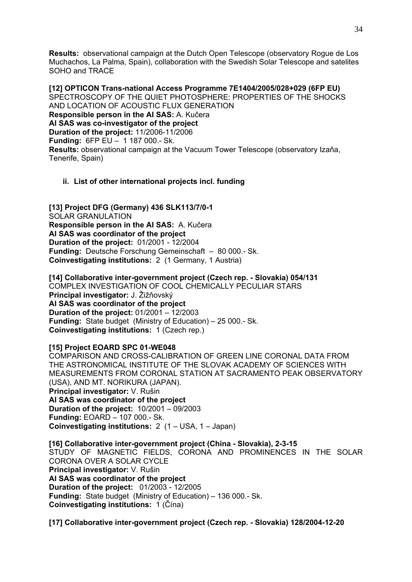**Results:** observational campaign at the Dutch Open Telescope (observatory Rogue de Los Muchachos, La Palma, Spain), collaboration with the Swedish Solar Telescope and satelites SOHO and TRACE

**[12] OPTICON Trans-national Access Programme 7E1404/2005/028+029 (6FP EU)**  SPECTROSCOPY OF THE QUIET PHOTOSPHERE: PROPERTIES OF THE SHOCKS AND LOCATION OF ACOUSTIC FLUX GENERATION **Responsible person in the AI SAS:** A. Kučera **AI SAS was co-investigator of the project Duration of the project:** 11/2006-11/2006 **Funding:** 6FP EU – 1 187 000.- Sk. **Results:** observational campaign at the Vacuum Tower Telescope (observatory Izaňa, Tenerife, Spain)

## **ii. List of other international projects incl. funding**

**[13] Project DFG (Germany) 436 SLK113/7/0-1**  SOLAR GRANULATION **Responsible person in the AI SAS:** A. Kučera **AI SAS was coordinator of the project Duration of the project:** 01/2001 - 12/2004 **Funding:** Deutsche Forschung Gemeinschaft – 80 000.- Sk. **Coinvestigating institutions:** 2 (1 Germany, 1 Austria)

**[14] Collaborative inter-government project (Czech rep. - Slovakia) 054/131**  COMPLEX INVESTIGATION OF COOL CHEMICALLY PECULIAR STARS **Principal investigator:** J. Žižňovský **AI SAS was coordinator of the project Duration of the project:** 01/2001 – 12/2003 **Funding:** State budget (Ministry of Education) – 25 000.- Sk. **Coinvestigating institutions:** 1 (Czech rep.)

#### **[15] Project EOARD SPC 01-WE048**

COMPARISON AND CROSS-CALIBRATION OF GREEN LINE CORONAL DATA FROM THE ASTRONOMICAL INSTITUTE OF THE SLOVAK ACADEMY OF SCIENCES WITH MEASUREMENTS FROM CORONAL STATION AT SACRAMENTO PEAK OBSERVATORY (USA), AND MT. NORIKURA (JAPAN). **Principal investigator:** V. Rušin **AI SAS was coordinator of the project Duration of the project:** 10/2001 – 09/2003 **Funding:** EOARD – 107 000.- Sk. **Coinvestigating institutions:** 2 (1 – USA, 1 – Japan)

**[16] Collaborative inter-government project (China - Slovakia), 2-3-15**  STUDY OF MAGNETIC FIELDS, CORONA AND PROMINENCES IN THE SOLAR CORONA OVER A SOLAR CYCLE **Principal investigator:** V. Rušin **AI SAS was coordinator of the project Duration of the project:** 01/2003 - 12/2005 **Funding:** State budget (Ministry of Education) – 136 000.- Sk. **Coinvestigating institutions:** 1 (Čína)

**[17] Collaborative inter-government project (Czech rep. - Slovakia) 128/2004-12-20**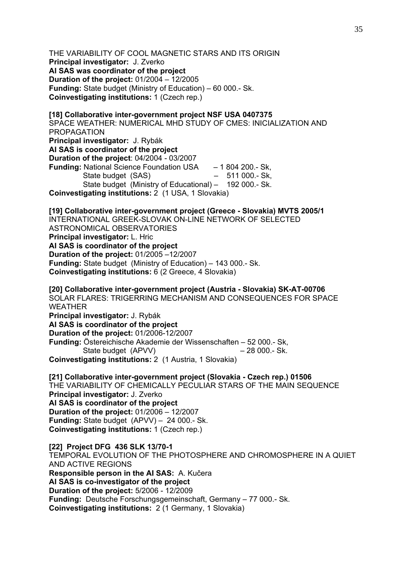THE VARIABILITY OF COOL MAGNETIC STARS AND ITS ORIGIN **Principal investigator:** J. Zverko **AI SAS was coordinator of the project Duration of the project:** 01/2004 – 12/2005 **Funding:** State budget (Ministry of Education) – 60 000.- Sk. **Coinvestigating institutions:** 1 (Czech rep.)

**[18] Collaborative inter-government project NSF USA 0407375**  SPACE WEATHER: NUMERICAL MHD STUDY OF CMES: INICIALIZATION AND PROPAGATION **Principal investigator:** J. Rybák **AI SAS is coordinator of the project Duration of the project**: 04/2004 - 03/2007 **Funding:** National Science Foundation USA – 1 804 200.- Sk, State budget (SAS) – 511 000.- Sk, State budget (Ministry of Educational) – 192 000.- Sk. **Coinvestigating institutions:** 2 (1 USA, 1 Slovakia)

**[19] Collaborative inter-government project (Greece - Slovakia) MVTS 2005/1** INTERNATIONAL GREEK-SLOVAK ON-LINE NETWORK OF SELECTED ASTRONOMICAL OBSERVATORIES **Principal investigator:** L. Hric **AI SAS is coordinator of the project Duration of the project:** 01/2005 –12/2007 **Funding:** State budget (Ministry of Education) – 143 000.- Sk. **Coinvestigating institutions:** 6 (2 Greece, 4 Slovakia)

**[20] Collaborative inter-government project (Austria - Slovakia) SK-AT-00706**  SOLAR FLARES: TRIGERRING MECHANISM AND CONSEQUENCES FOR SPACE WEATHER **Principal investigator:** J. Rybák **AI SAS is coordinator of the project Duration of the project:** 01/2006-12/2007 **Funding:** Östereichische Akademie der Wissenschaften – 52 000.- Sk, State budget (APVV) – 28 000.- Sk.

**Coinvestigating institutions:** 2 (1 Austria, 1 Slovakia)

**[21] Collaborative inter-government project (Slovakia - Czech rep.) 01506**  THE VARIABILITY OF CHEMICALLY PECULIAR STARS OF THE MAIN SEQUENCE **Principal investigator:** J. Zverko **AI SAS is coordinator of the project Duration of the project:** 01/2006 – 12/2007 **Funding:** State budget (APVV) – 24 000.- Sk. **Coinvestigating institutions:** 1 (Czech rep.)

**[22] Project DFG 436 SLK 13/70-1**  TEMPORAL EVOLUTION OF THE PHOTOSPHERE AND CHROMOSPHERE IN A QUIET AND ACTIVE REGIONS **Responsible person in the AI SAS:** A. Kučera **AI SAS is co-investigator of the project Duration of the project:** 5/2006 - 12/2009 **Funding:** Deutsche Forschungsgemeinschaft, Germany – 77 000.- Sk. **Coinvestigating institutions:** 2 (1 Germany, 1 Slovakia)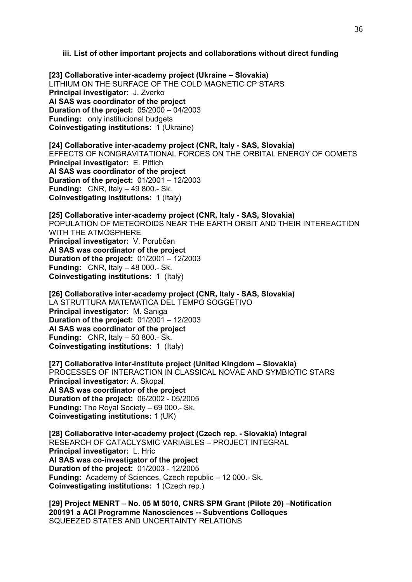#### **iii. List of other important projects and collaborations without direct funding**

**[23] Collaborative inter-academy project (Ukraine – Slovakia)**  LITHIUM ON THE SURFACE OF THE COLD MAGNETIC CP STARS **Principal investigator:** J. Zverko **AI SAS was coordinator of the project Duration of the project:** 05/2000 – 04/2003 **Funding:** only institucional budgets **Coinvestigating institutions:** 1 (Ukraine)

**[24] Collaborative inter-academy project (CNR, Italy - SAS, Slovakia)**  EFFECTS OF NONGRAVITATIONAL FORCES ON THE ORBITAL ENERGY OF COMETS **Principal investigator:** E. Pittich **AI SAS was coordinator of the project Duration of the project:** 01/2001 – 12/2003 **Funding:** CNR, Italy – 49 800.- Sk. **Coinvestigating institutions:** 1 (Italy)

**[25] Collaborative inter-academy project (CNR, Italy - SAS, Slovakia)**  POPULATION OF METEOROIDS NEAR THE EARTH ORBIT AND THEIR INTEREACTION WITH THE ATMOSPHERE **Principal investigator:** V. Porubčan **AI SAS was coordinator of the project Duration of the project:** 01/2001 – 12/2003 **Funding:** CNR, Italy – 48 000.- Sk. **Coinvestigating institutions:** 1 (Italy)

**[26] Collaborative inter-academy project (CNR, Italy - SAS, Slovakia)**  LA STRUTTURA MATEMATICA DEL TEMPO SOGGETIVO **Principal investigator:** M. Saniga **Duration of the project:** 01/2001 – 12/2003 **AI SAS was coordinator of the project Funding:** CNR, Italy – 50 800.- Sk. **Coinvestigating institutions:** 1 (Italy)

**[27] Collaborative inter-institute project (United Kingdom – Slovakia)**  PROCESSES OF INTERACTION IN CLASSICAL NOVAE AND SYMBIOTIC STARS **Principal investigator:** A. Skopal **AI SAS was coordinator of the project Duration of the project:** 06/2002 - 05/2005 **Funding:** The Royal Society – 69 000.- Sk. **Coinvestigating institutions:** 1 (UK)

**[28] Collaborative inter-academy project (Czech rep. - Slovakia) Integral**  RESEARCH OF CATACLYSMIC VARIABLES – PROJECT INTEGRAL **Principal investigator:** L. Hric **AI SAS was co-investigator of the project Duration of the project:** 01/2003 - 12/2005 **Funding:** Academy of Sciences, Czech republic – 12 000.- Sk. **Coinvestigating institutions:** 1 (Czech rep.)

**[29] Project MENRT – No. 05 M 5010, CNRS SPM Grant (Pilote 20) –Notification 200191 a ACI Programme Nanosciences -- Subventions Colloques**  SQUEEZED STATES AND UNCERTAINTY RELATIONS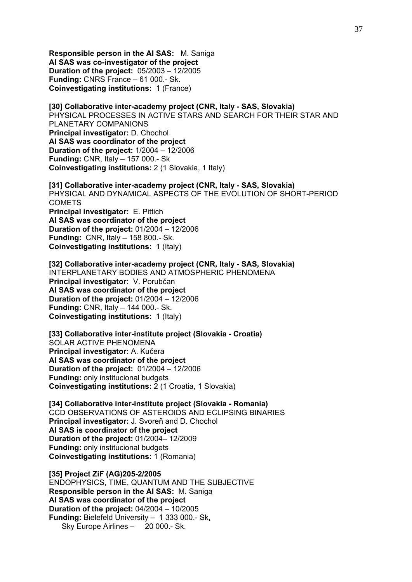**Responsible person in the AI SAS:** M. Saniga **AI SAS was co-investigator of the project Duration of the project:** 05/2003 – 12/2005 **Funding:** CNRS France – 61 000.- Sk. **Coinvestigating institutions:** 1 (France)

**[30] Collaborative inter-academy project (CNR, Italy - SAS, Slovakia)**  PHYSICAL PROCESSES IN ACTIVE STARS AND SEARCH FOR THEIR STAR AND PLANETARY COMPANIONS **Principal investigator:** D. Chochol **AI SAS was coordinator of the project Duration of the project:** 1/2004 – 12/2006 **Funding:** CNR, Italy – 157 000.- Sk **Coinvestigating institutions:** 2 (1 Slovakia, 1 Italy)

**[31] Collaborative inter-academy project (CNR, Italy - SAS, Slovakia)**  PHYSICAL AND DYNAMICAL ASPECTS OF THE EVOLUTION OF SHORT-PERIOD **COMETS Principal investigator:** E. Pittich **AI SAS was coordinator of the project Duration of the project:** 01/2004 – 12/2006 **Funding:** CNR, Italy – 158 800.- Sk. **Coinvestigating institutions:** 1 (Italy)

**[32] Collaborative inter-academy project (CNR, Italy - SAS, Slovakia)**  INTERPLANETARY BODIES AND ATMOSPHERIC PHENOMENA **Principal investigator:** V. Porubčan **AI SAS was coordinator of the project Duration of the project:** 01/2004 – 12/2006 **Funding:** CNR, Italy – 144 000.- Sk. **Coinvestigating institutions:** 1 (Italy)

**[33] Collaborative inter-institute project (Slovakia - Croatia)**  SOLAR ACTIVE PHENOMENA **Principal investigator:** A. Kučera **AI SAS was coordinator of the project Duration of the project:** 01/2004 – 12/2006 **Funding:** only institucional budgets **Coinvestigating institutions:** 2 (1 Croatia, 1 Slovakia)

**[34] Collaborative inter-institute project (Slovakia - Romania)**  CCD OBSERVATIONS OF ASTEROIDS AND ECLIPSING BINARIES **Principal investigator:** J. Svoreň and D. Chochol **AI SAS is coordinator of the project Duration of the project:** 01/2004– 12/2009 **Funding:** only institucional budgets **Coinvestigating institutions:** 1 (Romania)

**[35] Project ZiF (AG)205-2/2005**  ENDOPHYSICS, TIME, QUANTUM AND THE SUBJECTIVE **Responsible person in the AI SAS:** M. Saniga **AI SAS was coordinator of the project Duration of the project:** 04/2004 – 10/2005 **Funding:** Bielefeld University – 1 333 000.- Sk, Sky Europe Airlines – 20 000.- Sk.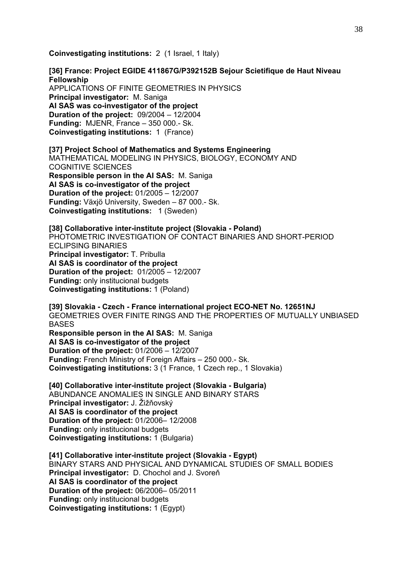**Coinvestigating institutions:** 2 (1 Israel, 1 Italy)

**[36] France: Project EGIDE 411867G/P392152B Sejour Scietifique de Haut Niveau Fellowship**  APPLICATIONS OF FINITE GEOMETRIES IN PHYSICS **Principal investigator:** M. Saniga **AI SAS was co-investigator of the project Duration of the project:** 09/2004 – 12/2004 **Funding:** MJENR, France – 350 000.- Sk. **Coinvestigating institutions:** 1 (France)

**[37] Project School of Mathematics and Systems Engineering**  MATHEMATICAL MODELING IN PHYSICS, BIOLOGY, ECONOMY AND COGNITIVE SCIENCES **Responsible person in the AI SAS:** M. Saniga **AI SAS is co-investigator of the project Duration of the project:** 01/2005 – 12/2007 **Funding:** Växjö University, Sweden – 87 000.- Sk. **Coinvestigating institutions:** 1 (Sweden)

**[38] Collaborative inter-institute project (Slovakia - Poland)**  PHOTOMETRIC INVESTIGATION OF CONTACT BINARIES AND SHORT-PERIOD ECLIPSING BINARIES **Principal investigator:** T. Pribulla **AI SAS is coordinator of the project Duration of the project:** 01/2005 – 12/2007 **Funding:** only institucional budgets **Coinvestigating institutions:** 1 (Poland)

**[39] Slovakia - Czech - France international project ECO-NET No. 12651NJ**  GEOMETRIES OVER FINITE RINGS AND THE PROPERTIES OF MUTUALLY UNBIASED **BASES Responsible person in the AI SAS:** M. Saniga **AI SAS is co-investigator of the project Duration of the project:** 01/2006 – 12/2007

**Funding:** French Ministry of Foreign Affairs – 250 000.- Sk. **Coinvestigating institutions:** 3 (1 France, 1 Czech rep., 1 Slovakia)

**[40] Collaborative inter-institute project (Slovakia - Bulgaria)**  ABUNDANCE ANOMALIES IN SINGLE AND BINARY STARS **Principal investigator:** J. Žižňovský **AI SAS is coordinator of the project Duration of the project:** 01/2006– 12/2008 **Funding:** only institucional budgets **Coinvestigating institutions:** 1 (Bulgaria)

**[41] Collaborative inter-institute project (Slovakia - Egypt)**  BINARY STARS AND PHYSICAL AND DYNAMICAL STUDIES OF SMALL BODIES **Principal investigator:** D. Chochol and J. Svoreň **AI SAS is coordinator of the project Duration of the project:** 06/2006– 05/2011 **Funding:** only institucional budgets **Coinvestigating institutions:** 1 (Egypt)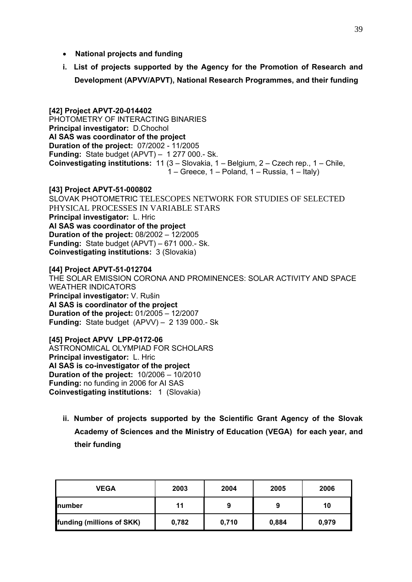- **National projects and funding**
- **i. List of projects supported by the Agency for the Promotion of Research and Development (APVV/APVT), National Research Programmes, and their funding**

#### **[42] Project APVT-20-014402**  PHOTOMETRY OF INTERACTING BINARIES **Principal investigator:** D.Chochol **AI SAS was coordinator of the project Duration of the project:** 07/2002 - 11/2005 **Funding:** State budget (APVT) – 1 277 000.- Sk. **Coinvestigating institutions:** 11 (3 – Slovakia, 1 – Belgium, 2 – Czech rep., 1 – Chile, 1 – Greece, 1 – Poland, 1 – Russia, 1 – Italy)

**[43] Project APVT-51-000802**  SLOVAK PHOTOMETRIC TELESCOPES NETWORK FOR STUDIES OF SELECTED PHYSICAL PROCESSES IN VARIABLE STARS **Principal investigator:** L. Hric **AI SAS was coordinator of the project Duration of the project:** 08/2002 – 12/2005 **Funding:** State budget (APVT) – 671 000.- Sk. **Coinvestigating institutions:** 3 (Slovakia)

**[44] Project APVT-51-012704**  THE SOLAR EMISSION CORONA AND PROMINENCES: SOLAR ACTIVITY AND SPACE WEATHER INDICATORS **Principal investigator:** V. Rušin **AI SAS is coordinator of the project Duration of the project:** 01/2005 – 12/2007 **Funding:** State budget (APVV) – 2 139 000.- Sk

**[45] Project APVV LPP-0172-06**  ASTRONOMICAL OLYMPIAD FOR SCHOLARS **Principal investigator:** L. Hric **AI SAS is co-investigator of the project Duration of the project:** 10/2006 – 10/2010 **Funding:** no funding in 2006 for AI SAS **Coinvestigating institutions:** 1 (Slovakia)

**ii. Number of projects supported by the Scientific Grant Agency of the Slovak Academy of Sciences and the Ministry of Education (VEGA) for each year, and their funding** 

| <b>VEGA</b>               | 2003  | 2004  | 2005  | 2006  |
|---------------------------|-------|-------|-------|-------|
| <b>Inumber</b>            | 11    | 9     | 9     | 10    |
| funding (millions of SKK) | 0,782 | 0,710 | 0,884 | 0,979 |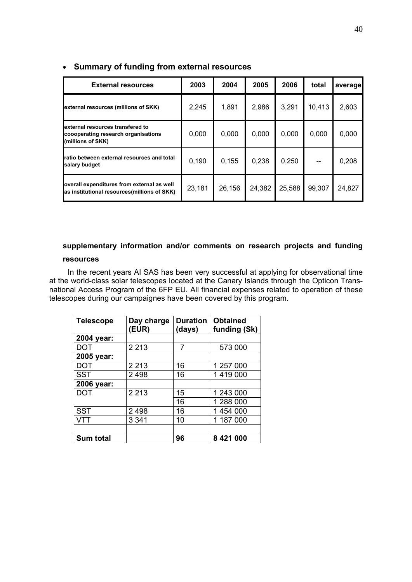| <b>External resources</b>                                                                    | 2003   | 2004   | 2005   | 2006   | total  | average |
|----------------------------------------------------------------------------------------------|--------|--------|--------|--------|--------|---------|
| external resources (millions of SKK)                                                         | 2,245  | 1,891  | 2,986  | 3,291  | 10,413 | 2,603   |
| external resources transfered to<br>coooperating research organisations<br>(millions of SKK) | 0,000  | 0,000  | 0,000  | 0,000  | 0,000  | 0,000   |
| ratio between external resources and total<br>salary budget                                  | 0.190  | 0.155  | 0,238  | 0,250  |        | 0,208   |
| overall expenditures from external as well<br>as institutional resources(millions of SKK)    | 23,181 | 26,156 | 24,382 | 25,588 | 99,307 | 24,827  |

## • **Summary of funding from external resources**

# **supplementary information and/or comments on research projects and funding**

#### **resources**

In the recent years AI SAS has been very successful at applying for observational time at the world-class solar telescopes located at the Canary Islands through the Opticon Transnational Access Program of the 6FP EU. All financial expenses related to operation of these telescopes during our campaignes have been covered by this program.

| <b>Telescope</b> | Day charge<br>(EUR) | <b>Duration</b><br>(days) | <b>Obtained</b><br>funding (Sk) |
|------------------|---------------------|---------------------------|---------------------------------|
| 2004 year:       |                     |                           |                                 |
| <b>DOT</b>       | 2 2 1 3             | 7                         | 573 000                         |
| 2005 year:       |                     |                           |                                 |
| <b>DOT</b>       | 2 2 1 3             | 16                        | 1 257 000                       |
| <b>SST</b>       | 2498                | 16                        | 1419000                         |
| 2006 year:       |                     |                           |                                 |
| <b>DOT</b>       | 2 2 1 3             | 15                        | 1 243 000                       |
|                  |                     | 16                        | 1 288 000                       |
| <b>SST</b>       | 2 4 9 8             | 16                        | 1 454 000                       |
| VTT              | 3 3 4 1             | 10                        | 1 187 000                       |
|                  |                     |                           |                                 |
| <b>Sum total</b> |                     | 96                        | 8 421 000                       |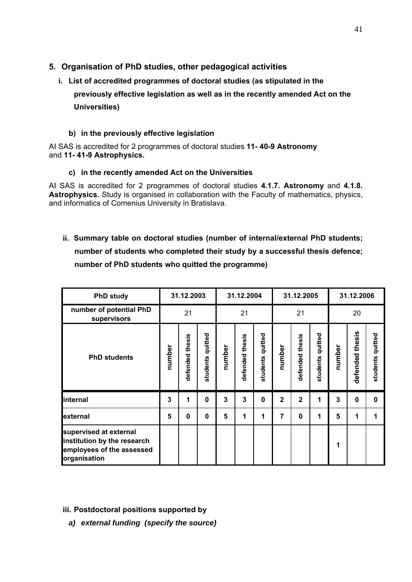## **5. Organisation of PhD studies, other pedagogical activities**

**i. List of accredited programmes of doctoral studies (as stipulated in the previously effective legislation as well as in the recently amended Act on the Universities)**

## **b) in the previously effective legislation**

AI SAS is accredited for 2 programmes of doctoral studies **11- 40-9 Astronomy**  and **11- 41-9 Astrophysics.** 

## **c) in the recently amended Act on the Universities**

AI SAS is accredited for 2 programmes of doctoral studies **4.1.7. Astronomy** and **4.1.8. Astrophysics.** Study is organised in collaboration with the Faculty of mathematics, physics, and informatics of Comenius University in Bratislava.

**ii. Summary table on doctoral studies (number of internal/external PhD students; number of students who completed their study by a successful thesis defence; number of PhD students who quitted the programme)**

| <b>PhD study</b>                                                                                   |                 | 31.12.2003      |                     |        | 31.12.2004      |                  | 31.12.2005     |                 |                  | 31.12.2006 |                 |                  |
|----------------------------------------------------------------------------------------------------|-----------------|-----------------|---------------------|--------|-----------------|------------------|----------------|-----------------|------------------|------------|-----------------|------------------|
| number of potential PhD<br>supervisors                                                             | 21              |                 |                     | 21     |                 |                  | 21             |                 |                  | 20         |                 |                  |
| <b>PhD students</b>                                                                                | number          | defended thesis | quitted<br>students | number | defended thesis | students quitted | number         | defended thesis | students quitted | number     | defended thesis | students quitted |
| internal                                                                                           | 3               | 1               | $\mathbf 0$         | 3      | 3               | 0                | $\overline{2}$ | $\overline{2}$  | 1                | 3          | $\bf{0}$        | $\mathbf 0$      |
| external                                                                                           | $5\phantom{.0}$ | $\bf{0}$        | 0                   | 5      | 1               | 1                | 7              | 0               | 1                | 5          | 1               | 1                |
| supervised at external<br>institution by the research<br>employees of the assessed<br>organisation |                 |                 |                     |        |                 |                  |                |                 |                  | 1          |                 |                  |

**iii. Postdoctoral positions supported by** 

*a) external funding (specify the source)*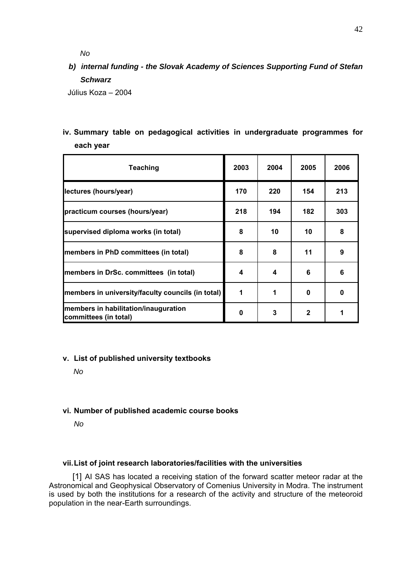*No* 

# *b) internal funding - the Slovak Academy of Sciences Supporting Fund of Stefan Schwarz*

Július Koza – 2004

**iv. Summary table on pedagogical activities in undergraduate programmes for each year**

| Teaching                                                      | 2003 | 2004 | 2005         | 2006 |
|---------------------------------------------------------------|------|------|--------------|------|
| lectures (hours/year)                                         | 170  | 220  | 154          | 213  |
| practicum courses (hours/year)                                | 218  | 194  | 182          | 303  |
| supervised diploma works (in total)                           | 8    | 10   | 10           | 8    |
| members in PhD committees (in total)                          | 8    | 8    | 11           | 9    |
| members in DrSc. committees (in total)                        | 4    | 4    | 6            | 6    |
| members in university/faculty councils (in total)             | 1    |      | 0            | 0    |
| members in habilitation/inauguration<br>committees (in total) | 0    | 3    | $\mathbf{2}$ | 1    |

#### **v. List of published university textbooks**

*No* 

#### **vi. Number of published academic course books**

*No* 

#### **vii. List of joint research laboratories/facilities with the universities**

[1] AI SAS has located a receiving station of the forward scatter meteor radar at the Astronomical and Geophysical Observatory of Comenius University in Modra. The instrument is used by both the institutions for a research of the activity and structure of the meteoroid population in the near-Earth surroundings.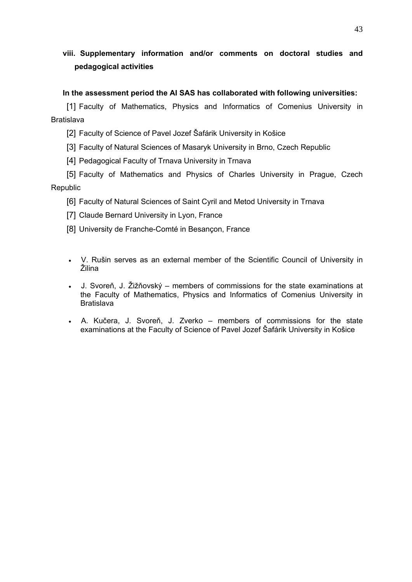# **viii. Supplementary information and/or comments on doctoral studies and pedagogical activities**

## **In the assessment period the AI SAS has collaborated with following universities:**

[1] Faculty of Mathematics, Physics and Informatics of Comenius University in Bratislava

[2] Faculty of Science of Pavel Jozef Šafárik University in Košice

[3] Faculty of Natural Sciences of Masaryk University in Brno, Czech Republic

[4] Pedagogical Faculty of Trnava University in Trnava

[5] Faculty of Mathematics and Physics of Charles University in Prague, Czech Republic

[6] Faculty of Natural Sciences of Saint Cyril and Metod University in Trnava

[7] Claude Bernard University in Lyon, France

[8] University de Franche-Comté in Besançon, France

- V. Rušin serves as an external member of the Scientific Council of University in Žilina
- J. Svoreň, J. Žižňovský members of commissions for the state examinations at the Faculty of Mathematics, Physics and Informatics of Comenius University in Bratislava
- A. Kučera, J. Svoreň, J. Zverko members of commissions for the state examinations at the Faculty of Science of Pavel Jozef Šafárik University in Košice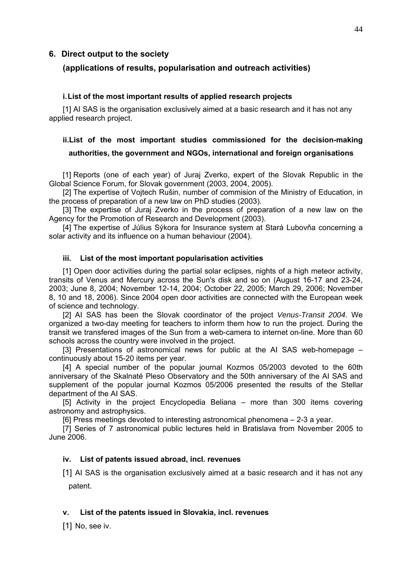#### **6. Direct output to the society**

#### **(applications of results, popularisation and outreach activities)**

#### **i. List of the most important results of applied research projects**

[1] AI SAS is the organisation exclusively aimed at a basic research and it has not any applied research project.

# **ii.List of the most important studies commissioned for the decision-making authorities, the government and NGOs, international and foreign organisations**

[1] Reports (one of each year) of Juraj Zverko, expert of the Slovak Republic in the Global Science Forum, for Slovak government (2003, 2004, 2005).

[2] The expertise of Vojtech Rušin, number of commision of the Ministry of Education, in the process of preparation of a new law on PhD studies (2003).

[3] The expertise of Juraj Zverko in the process of preparation of a new law on the Agency for the Promotion of Research and Development (2003).

[4] The expertise of Július Sýkora for Insurance system at Stará Lubovňa concerning a solar activity and its influence on a human behaviour (2004).

#### **iii. List of the most important popularisation activities**

[1] Open door activities during the partial solar eclipses, nights of a high meteor activity, transits of Venus and Mercury across the Sun's disk and so on (August 16-17 and 23-24, 2003; June 8, 2004; November 12-14, 2004; October 22, 2005; March 29, 2006; November 8, 10 and 18, 2006). Since 2004 open door activities are connected with the European week of science and technology.

[2] AI SAS has been the Slovak coordinator of the project *Venus-Transit 2004*. We organized a two-day meeting for teachers to inform them how to run the project. During the transit we transfered images of the Sun from a web-camera to internet on-line. More than 60 schools across the country were involved in the project.

[3] Presentations of astronomical news for public at the AI SAS web-homepage – continuously about 15-20 items per year.

[4] A special number of the popular journal Kozmos 05/2003 devoted to the 60th anniversary of the Skalnaté Pleso Observatory and the 50th anniversary of the AI SAS and supplement of the popular journal Kozmos 05/2006 presented the results of the Stellar department of the AI SAS.

[5] Activity in the project Encyclopedia Beliana – more than 300 items covering astronomy and astrophysics.

[6] Press meetings devoted to interesting astronomical phenomena – 2-3 a year.

[7] Series of 7 astronomical public lectures held in Bratislava from November 2005 to June 2006.

#### **iv. List of patents issued abroad, incl. revenues**

[1] AI SAS is the organisation exclusively aimed at a basic research and it has not any patent.

#### **v. List of the patents issued in Slovakia, incl. revenues**

[1] No, see iv.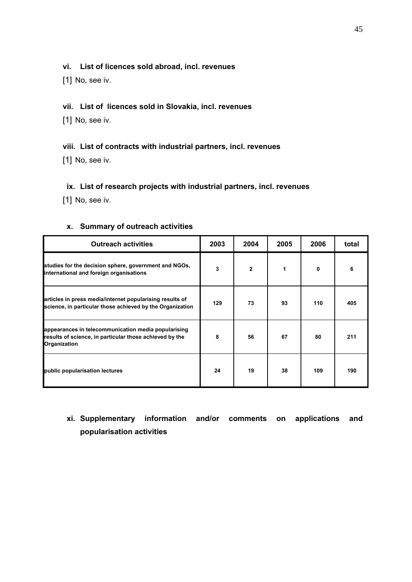#### **vi. List of licences sold abroad, incl. revenues**

[1] No, see iv.

## **vii. List of licences sold in Slovakia, incl. revenues**

[1] No, see iv.

## **viii. List of contracts with industrial partners, incl. revenues**

[1] No, see iv.

## **ix. List of research projects with industrial partners, incl. revenues**

[1] No, see iv.

| <b>Outreach activities</b>                                                                                                     | 2003 | 2004           | 2005 | 2006 | total |
|--------------------------------------------------------------------------------------------------------------------------------|------|----------------|------|------|-------|
| studies for the decision sphere, government and NGOs,<br>international and foreign organisations                               | 3    | $\overline{2}$ | 1    | 0    | 6     |
| articles in press media/internet popularising results of<br>science, in particular those achieved by the Organization          | 129  | 73             | 93   | 110  | 405   |
| appearances in telecommunication media popularising<br>results of science, in particular those achieved by the<br>Organization | 8    | 56             | 67   | 80   | 211   |
| public popularisation lectures                                                                                                 | 24   | 19             | 38   | 109  | 190   |

#### **x. Summary of outreach activities**

# **xi. Supplementary information and/or comments on applications and popularisation activities**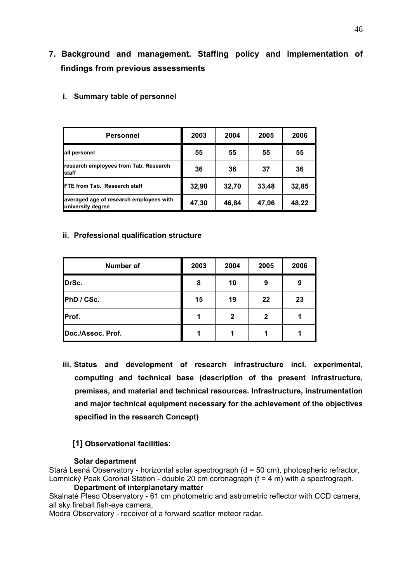# **7. Background and management. Staffing policy and implementation of findings from previous assessments**

| Personnel                                                    | 2003  | 2004  | 2005  | 2006  |
|--------------------------------------------------------------|-------|-------|-------|-------|
| all personel                                                 | 55    | 55    | 55    | 55    |
| research employees from Tab. Research<br><b>staff</b>        | 36    | 36    | 37    | 36    |
| <b>FTE from Tab. Research staff</b>                          | 32,90 | 32,70 | 33,48 | 32,85 |
| averaged age of research employees with<br>university degree | 47,30 | 46,84 | 47,06 | 48,22 |

**i. Summary table of personnel** 

#### **ii. Professional qualification structure**

| <b>Number of</b>  | 2003 | 2004         | 2005         | 2006 |
|-------------------|------|--------------|--------------|------|
| DrSc.             | 8    | 10           | 9            | 9    |
| PhD / CSc.        | 15   | 19           | 22           | 23   |
| Prof.             | л    | $\mathbf{2}$ | $\mathbf{2}$ |      |
| Doc./Assoc. Prof. |      |              |              |      |

**iii. Status and development of research infrastructure incl. experimental, computing and technical base (description of the present infrastructure, premises, and material and technical resources. Infrastructure, instrumentation and major technical equipment necessary for the achievement of the objectives specified in the research Concept)** 

## **[1] Observational facilities:**

#### **Solar department**

Stará Lesná Observatory - horizontal solar spectrograph (d = 50 cm), photospheric refractor, Lomnický Peak Coronal Station - double 20 cm coronagraph (f = 4 m) with a spectrograph.

## **Department of interplanetary matter**

Skalnaté Pleso Observatory - 61 cm photometric and astrometric reflector with CCD camera, all sky fireball fish-eye camera,

Modra Observatory - receiver of a forward scatter meteor radar.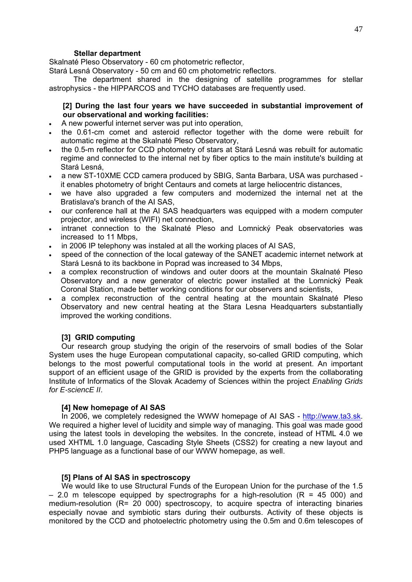#### **Stellar department**

Skalnaté Pleso Observatory - 60 cm photometric reflector,

Stará Lesná Observatory - 50 cm and 60 cm photometric reflectors.

The department shared in the designing of satellite programmes for stellar astrophysics - the HIPPARCOS and TYCHO databases are frequently used.

#### **[2] During the last four years we have succeeded in substantial improvement of our observational and working facilities:**

- A new powerful internet server was put into operation,
- the 0.61-cm comet and asteroid reflector together with the dome were rebuilt for automatic regime at the Skalnaté Pleso Observatory,
- the 0.5-m reflector for CCD photometry of stars at Stará Lesná was rebuilt for automatic regime and connected to the internal net by fiber optics to the main institute's building at Stará Lesná,
- a new ST-10XME CCD camera produced by SBIG, Santa Barbara, USA was purchased it enables photometry of bright Centaurs and comets at large heliocentric distances,
- we have also upgraded a few computers and modernized the internal net at the Bratislava's branch of the AI SAS,
- our conference hall at the AI SAS headquarters was equipped with a modern computer projector, and wireless (WIFI) net connection,
- intranet connection to the Skalnaté Pleso and Lomnický Peak observatories was increased to 11 Mbps,
- in 2006 IP telephony was instaled at all the working places of AI SAS,
- speed of the connection of the local gateway of the SANET academic internet network at Stará Lesná to its backbone in Poprad was increased to 34 Mbps,
- a complex reconstruction of windows and outer doors at the mountain Skalnaté Pleso Observatory and a new generator of electric power installed at the Lomnický Peak Coronal Station, made better working conditions for our observers and scientists,
- a complex reconstruction of the central heating at the mountain Skalnaté Pleso Observatory and new central heating at the Stara Lesna Headquarters substantially improved the working conditions.

#### **[3] GRID computing**

Our research group studying the origin of the reservoirs of small bodies of the Solar System uses the huge European computational capacity, so-called GRID computing, which belongs to the most powerful computational tools in the world at present. An important support of an efficient usage of the GRID is provided by the experts from the collaborating Institute of Informatics of the Slovak Academy of Sciences within the project *Enabling Grids for E-sciencE II*.

#### **[4] New homepage of AI SAS**

In 2006, we completely redesigned the WWW homepage of AI SAS - [http://www.ta3.sk](http://www.ta3.sk/). We required a higher level of lucidity and simple way of managing. This goal was made good using the latest tools in developing the websites. In the concrete, instead of HTML 4.0 we used XHTML 1.0 language, Cascading Style Sheets (CSS2) for creating a new layout and PHP5 language as a functional base of our WWW homepage, as well.

#### **[5] Plans of AI SAS in spectroscopy**

We would like to use Structural Funds of the European Union for the purchase of the 1.5  $-$  2.0 m telescope equipped by spectrographs for a high-resolution (R = 45 000) and medium-resolution (R= 20 000) spectroscopy, to acquire spectra of interacting binaries especially novae and symbiotic stars during their outbursts. Activity of these objects is monitored by the CCD and photoelectric photometry using the 0.5m and 0.6m telescopes of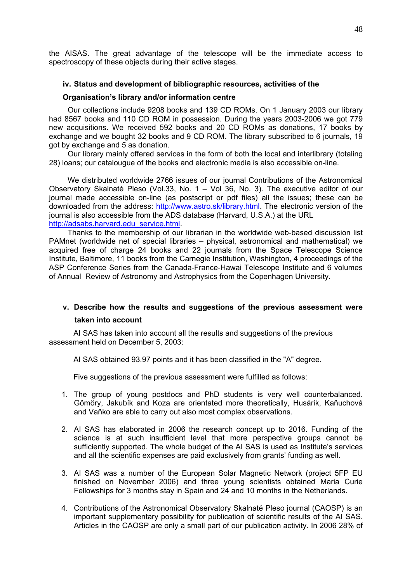the AISAS. The great advantage of the telescope will be the immediate access to spectroscopy of these objects during their active stages.

#### **iv. Status and development of bibliographic resources, activities of the**

#### **Organisation's library and/or information centre**

Our collections include 9208 books and 139 CD ROMs. On 1 January 2003 our library had 8567 books and 110 CD ROM in possession. During the years 2003-2006 we got 779 new acquisitions. We received 592 books and 20 CD ROMs as donations, 17 books by exchange and we bought 32 books and 9 CD ROM. The library subscribed to 6 journals, 19 got by exchange and 5 as donation.

Our library mainly offered services in the form of both the local and interlibrary (totaling 28) loans; our catalougue of the books and electronic media is also accessible on-line.

We distributed worldwide 2766 issues of our journal Contributions of the Astronomical Observatory Skalnaté Pleso (Vol.33, No. 1 – Vol 36, No. 3). The executive editor of our journal made accessible on-line (as postscript or pdf files) all the issues; these can be downloaded from the address: <http://www.astro.sk/library.html>. The electronic version of the journal is also accessible from the ADS database (Harvard, U.S.A.) at the URL [http://adsabs.harvard.edu\\_service.html](http://adsabs.harvard.edu_service.html/).

Thanks to the membership of our librarian in the worldwide web-based discussion list PAMnet (worldwide net of special libraries – physical, astronomical and mathematical) we acquired free of charge 24 books and 22 journals from the Space Telescope Science Institute, Baltimore, 11 books from the Carnegie Institution, Washington, 4 proceedings of the ASP Conference Series from the Canada-France-Hawai Telescope Institute and 6 volumes of Annual Review of Astronomy and Astrophysics from the Copenhagen University.

#### **v. Describe how the results and suggestions of the previous assessment were**

#### **taken into account**

AI SAS has taken into account all the results and suggestions of the previous assessment held on December 5, 2003:

AI SAS obtained 93.97 points and it has been classified in the "A" degree.

Five suggestions of the previous assessment were fulfilled as follows:

- 1. The group of young postdocs and PhD students is very well counterbalanced. Gömöry, Jakubík and Koza are orientated more theoretically, Husárik, Kaňuchová and Vaňko are able to carry out also most complex observations.
- 2. AI SAS has elaborated in 2006 the research concept up to 2016. Funding of the science is at such insufficient level that more perspective groups cannot be sufficiently supported. The whole budget of the AI SAS is used as Institute's services and all the scientific expenses are paid exclusively from grants' funding as well.
- 3. AI SAS was a number of the European Solar Magnetic Network (project 5FP EU finished on November 2006) and three young scientists obtained Maria Curie Fellowships for 3 months stay in Spain and 24 and 10 months in the Netherlands.
- 4. Contributions of the Astronomical Observatory Skalnaté Pleso journal (CAOSP) is an important supplementary possibility for publication of scientific results of the AI SAS. Articles in the CAOSP are only a small part of our publication activity. In 2006 28% of